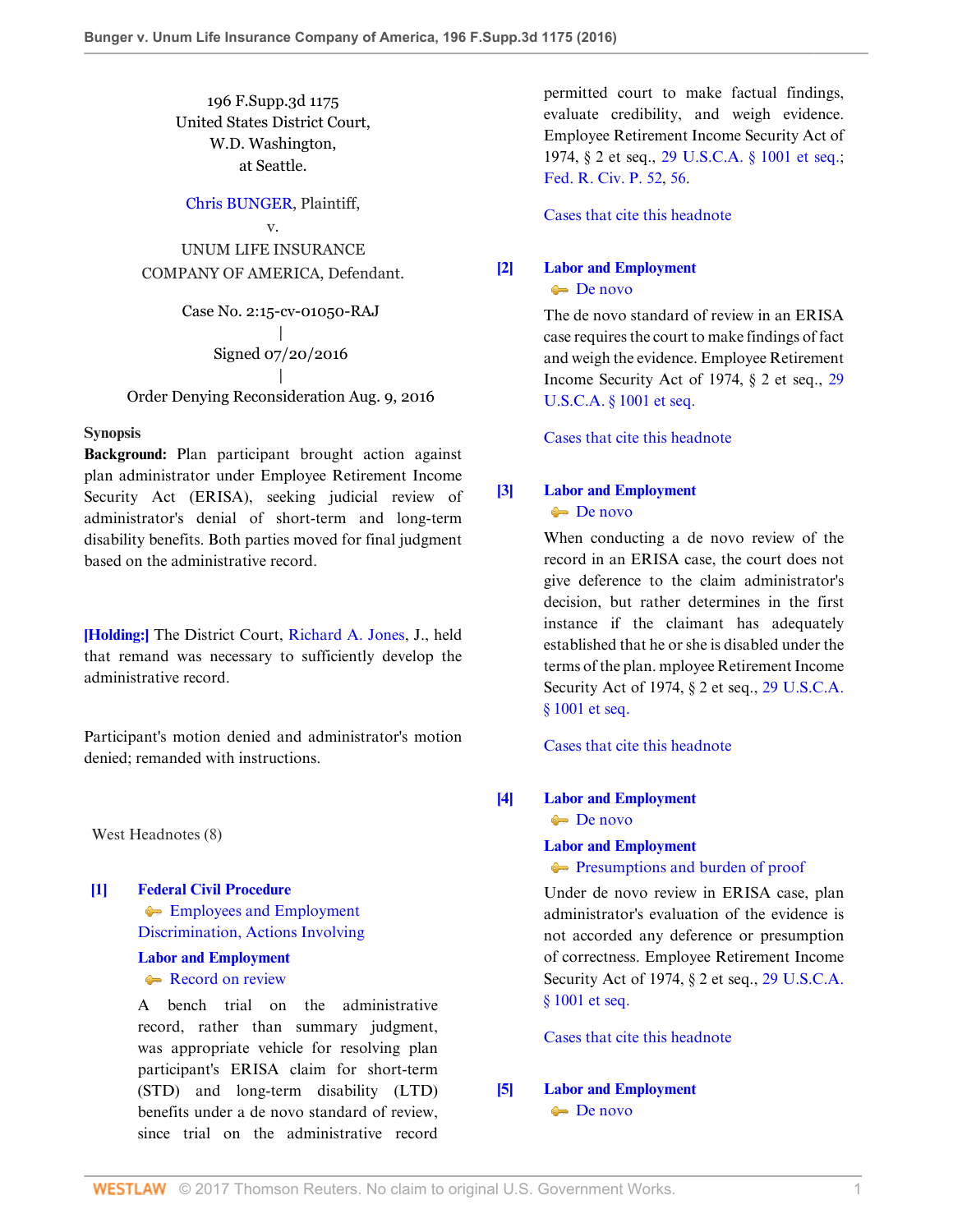196 F.Supp.3d 1175 United States District Court, W.D. Washington, at Seattle.

[Chris BUNGER](http://www.westlaw.com/Search/Results.html?query=advanced%3a+OAID(5038189688)&saveJuris=False&contentType=BUSINESS-INVESTIGATOR&startIndex=1&contextData=(sc.Default)&categoryPageUrl=Home%2fCompanyInvestigator&originationContext=document&vr=3.0&rs=cblt1.0&transitionType=DocumentItem), Plaintiff,

v. UNUM LIFE INSURANCE COMPANY OF AMERICA, Defendant.

> Case No. 2:15-cv-01050-RAJ | Signed 07/20/2016 |

Order Denying Reconsideration Aug. 9, 2016

#### **Synopsis**

**Background:** Plan participant brought action against plan administrator under Employee Retirement Income Security Act (ERISA), seeking judicial review of administrator's denial of short-term and long-term disability benefits. Both parties moved for final judgment based on the administrative record.

**[\[Holding:\]](#page-1-0)** The District Court, [Richard A. Jones](http://www.westlaw.com/Link/Document/FullText?findType=h&pubNum=176284&cite=0174547201&originatingDoc=Ia051ce304ee211e68e80d394640dd07e&refType=RQ&originationContext=document&vr=3.0&rs=cblt1.0&transitionType=DocumentItem&contextData=(sc.UserEnteredCitation)), J., held that remand was necessary to sufficiently develop the administrative record.

Participant's motion denied and administrator's motion denied; remanded with instructions.

West Headnotes (8)

<span id="page-0-0"></span>**[\[1\]](#page-2-0) [Federal Civil Procedure](http://www.westlaw.com/Browse/Home/KeyNumber/170A/View.html?docGuid=Ia051ce304ee211e68e80d394640dd07e&originationContext=document&vr=3.0&rs=cblt1.0&transitionType=DocumentItem&contextData=(sc.UserEnteredCitation)) [Employees and Employment](http://www.westlaw.com/Browse/Home/KeyNumber/170Ak2497/View.html?docGuid=Ia051ce304ee211e68e80d394640dd07e&originationContext=document&vr=3.0&rs=cblt1.0&transitionType=DocumentItem&contextData=(sc.UserEnteredCitation))** [Discrimination, Actions Involving](http://www.westlaw.com/Browse/Home/KeyNumber/170Ak2497/View.html?docGuid=Ia051ce304ee211e68e80d394640dd07e&originationContext=document&vr=3.0&rs=cblt1.0&transitionType=DocumentItem&contextData=(sc.UserEnteredCitation))

# **[Labor and Employment](http://www.westlaw.com/Browse/Home/KeyNumber/231H/View.html?docGuid=Ia051ce304ee211e68e80d394640dd07e&originationContext=document&vr=3.0&rs=cblt1.0&transitionType=DocumentItem&contextData=(sc.UserEnteredCitation))**

### [Record on review](http://www.westlaw.com/Browse/Home/KeyNumber/231Hk691/View.html?docGuid=Ia051ce304ee211e68e80d394640dd07e&originationContext=document&vr=3.0&rs=cblt1.0&transitionType=DocumentItem&contextData=(sc.UserEnteredCitation))

A bench trial on the administrative record, rather than summary judgment, was appropriate vehicle for resolving plan participant's ERISA claim for short-term (STD) and long-term disability (LTD) benefits under a de novo standard of review, since trial on the administrative record

permitted court to make factual findings, evaluate credibility, and weigh evidence. Employee Retirement Income Security Act of 1974, § 2 et seq., [29 U.S.C.A. § 1001 et seq.;](http://www.westlaw.com/Link/Document/FullText?findType=L&pubNum=1000546&cite=29USCAS1001&originatingDoc=Ia051ce304ee211e68e80d394640dd07e&refType=LQ&originationContext=document&vr=3.0&rs=cblt1.0&transitionType=DocumentItem&contextData=(sc.UserEnteredCitation)) [Fed. R. Civ. P. 52,](http://www.westlaw.com/Link/Document/FullText?findType=L&pubNum=1000600&cite=USFRCPR52&originatingDoc=Ia051ce304ee211e68e80d394640dd07e&refType=LQ&originationContext=document&vr=3.0&rs=cblt1.0&transitionType=DocumentItem&contextData=(sc.UserEnteredCitation)) [56.](http://www.westlaw.com/Link/Document/FullText?findType=L&pubNum=1000600&cite=USFRCPR56&originatingDoc=Ia051ce304ee211e68e80d394640dd07e&refType=LQ&originationContext=document&vr=3.0&rs=cblt1.0&transitionType=DocumentItem&contextData=(sc.UserEnteredCitation))

[Cases that cite this headnote](http://www.westlaw.com/Link/RelatedInformation/DocHeadnoteLink?docGuid=Ia051ce304ee211e68e80d394640dd07e&headnoteId=203940014400220170328063343&originationContext=document&vr=3.0&rs=cblt1.0&transitionType=CitingReferences&contextData=(sc.UserEnteredCitation))

# <span id="page-0-1"></span>**[\[2\]](#page-2-1) [Labor and Employment](http://www.westlaw.com/Browse/Home/KeyNumber/231H/View.html?docGuid=Ia051ce304ee211e68e80d394640dd07e&originationContext=document&vr=3.0&rs=cblt1.0&transitionType=DocumentItem&contextData=(sc.UserEnteredCitation))** [De novo](http://www.westlaw.com/Browse/Home/KeyNumber/231Hk686/View.html?docGuid=Ia051ce304ee211e68e80d394640dd07e&originationContext=document&vr=3.0&rs=cblt1.0&transitionType=DocumentItem&contextData=(sc.UserEnteredCitation))

The de novo standard of review in an ERISA case requires the court to make findings of fact and weigh the evidence. Employee Retirement Income Security Act of 1974, § 2 et seq., [29](http://www.westlaw.com/Link/Document/FullText?findType=L&pubNum=1000546&cite=29USCAS1001&originatingDoc=Ia051ce304ee211e68e80d394640dd07e&refType=LQ&originationContext=document&vr=3.0&rs=cblt1.0&transitionType=DocumentItem&contextData=(sc.UserEnteredCitation)) [U.S.C.A. § 1001 et seq.](http://www.westlaw.com/Link/Document/FullText?findType=L&pubNum=1000546&cite=29USCAS1001&originatingDoc=Ia051ce304ee211e68e80d394640dd07e&refType=LQ&originationContext=document&vr=3.0&rs=cblt1.0&transitionType=DocumentItem&contextData=(sc.UserEnteredCitation))

[Cases that cite this headnote](http://www.westlaw.com/Link/RelatedInformation/DocHeadnoteLink?docGuid=Ia051ce304ee211e68e80d394640dd07e&headnoteId=203940014400120170328063343&originationContext=document&vr=3.0&rs=cblt1.0&transitionType=CitingReferences&contextData=(sc.UserEnteredCitation))

# <span id="page-0-2"></span>**[\[3\]](#page-8-0) [Labor and Employment](http://www.westlaw.com/Browse/Home/KeyNumber/231H/View.html?docGuid=Ia051ce304ee211e68e80d394640dd07e&originationContext=document&vr=3.0&rs=cblt1.0&transitionType=DocumentItem&contextData=(sc.UserEnteredCitation))** [De novo](http://www.westlaw.com/Browse/Home/KeyNumber/231Hk686/View.html?docGuid=Ia051ce304ee211e68e80d394640dd07e&originationContext=document&vr=3.0&rs=cblt1.0&transitionType=DocumentItem&contextData=(sc.UserEnteredCitation))

When conducting a de novo review of the record in an ERISA case, the court does not give deference to the claim administrator's decision, but rather determines in the first instance if the claimant has adequately established that he or she is disabled under the terms of the plan. mployee Retirement Income Security Act of 1974, § 2 et seq., [29 U.S.C.A.](http://www.westlaw.com/Link/Document/FullText?findType=L&pubNum=1000546&cite=29USCAS1001&originatingDoc=Ia051ce304ee211e68e80d394640dd07e&refType=LQ&originationContext=document&vr=3.0&rs=cblt1.0&transitionType=DocumentItem&contextData=(sc.UserEnteredCitation)) [§ 1001 et seq.](http://www.westlaw.com/Link/Document/FullText?findType=L&pubNum=1000546&cite=29USCAS1001&originatingDoc=Ia051ce304ee211e68e80d394640dd07e&refType=LQ&originationContext=document&vr=3.0&rs=cblt1.0&transitionType=DocumentItem&contextData=(sc.UserEnteredCitation))

[Cases that cite this headnote](http://www.westlaw.com/Link/RelatedInformation/DocHeadnoteLink?docGuid=Ia051ce304ee211e68e80d394640dd07e&headnoteId=203940014400320170328063343&originationContext=document&vr=3.0&rs=cblt1.0&transitionType=CitingReferences&contextData=(sc.UserEnteredCitation))

# <span id="page-0-3"></span>**[\[4\]](#page-8-1) [Labor and Employment](http://www.westlaw.com/Browse/Home/KeyNumber/231H/View.html?docGuid=Ia051ce304ee211e68e80d394640dd07e&originationContext=document&vr=3.0&rs=cblt1.0&transitionType=DocumentItem&contextData=(sc.UserEnteredCitation))**

[De novo](http://www.westlaw.com/Browse/Home/KeyNumber/231Hk686/View.html?docGuid=Ia051ce304ee211e68e80d394640dd07e&originationContext=document&vr=3.0&rs=cblt1.0&transitionType=DocumentItem&contextData=(sc.UserEnteredCitation))

# **[Labor and Employment](http://www.westlaw.com/Browse/Home/KeyNumber/231H/View.html?docGuid=Ia051ce304ee211e68e80d394640dd07e&originationContext=document&vr=3.0&rs=cblt1.0&transitionType=DocumentItem&contextData=(sc.UserEnteredCitation))**

**[Presumptions and burden of proof](http://www.westlaw.com/Browse/Home/KeyNumber/231Hk694/View.html?docGuid=Ia051ce304ee211e68e80d394640dd07e&originationContext=document&vr=3.0&rs=cblt1.0&transitionType=DocumentItem&contextData=(sc.UserEnteredCitation))** 

Under de novo review in ERISA case, plan administrator's evaluation of the evidence is not accorded any deference or presumption of correctness. Employee Retirement Income Security Act of 1974, § 2 et seq., [29 U.S.C.A.](http://www.westlaw.com/Link/Document/FullText?findType=L&pubNum=1000546&cite=29USCAS1001&originatingDoc=Ia051ce304ee211e68e80d394640dd07e&refType=LQ&originationContext=document&vr=3.0&rs=cblt1.0&transitionType=DocumentItem&contextData=(sc.UserEnteredCitation)) [§ 1001 et seq.](http://www.westlaw.com/Link/Document/FullText?findType=L&pubNum=1000546&cite=29USCAS1001&originatingDoc=Ia051ce304ee211e68e80d394640dd07e&refType=LQ&originationContext=document&vr=3.0&rs=cblt1.0&transitionType=DocumentItem&contextData=(sc.UserEnteredCitation))

[Cases that cite this headnote](http://www.westlaw.com/Link/RelatedInformation/DocHeadnoteLink?docGuid=Ia051ce304ee211e68e80d394640dd07e&headnoteId=203940014400420170328063343&originationContext=document&vr=3.0&rs=cblt1.0&transitionType=CitingReferences&contextData=(sc.UserEnteredCitation))

# <span id="page-0-4"></span>**[\[5\]](#page-8-2) [Labor and Employment](http://www.westlaw.com/Browse/Home/KeyNumber/231H/View.html?docGuid=Ia051ce304ee211e68e80d394640dd07e&originationContext=document&vr=3.0&rs=cblt1.0&transitionType=DocumentItem&contextData=(sc.UserEnteredCitation))** [De novo](http://www.westlaw.com/Browse/Home/KeyNumber/231Hk686/View.html?docGuid=Ia051ce304ee211e68e80d394640dd07e&originationContext=document&vr=3.0&rs=cblt1.0&transitionType=DocumentItem&contextData=(sc.UserEnteredCitation))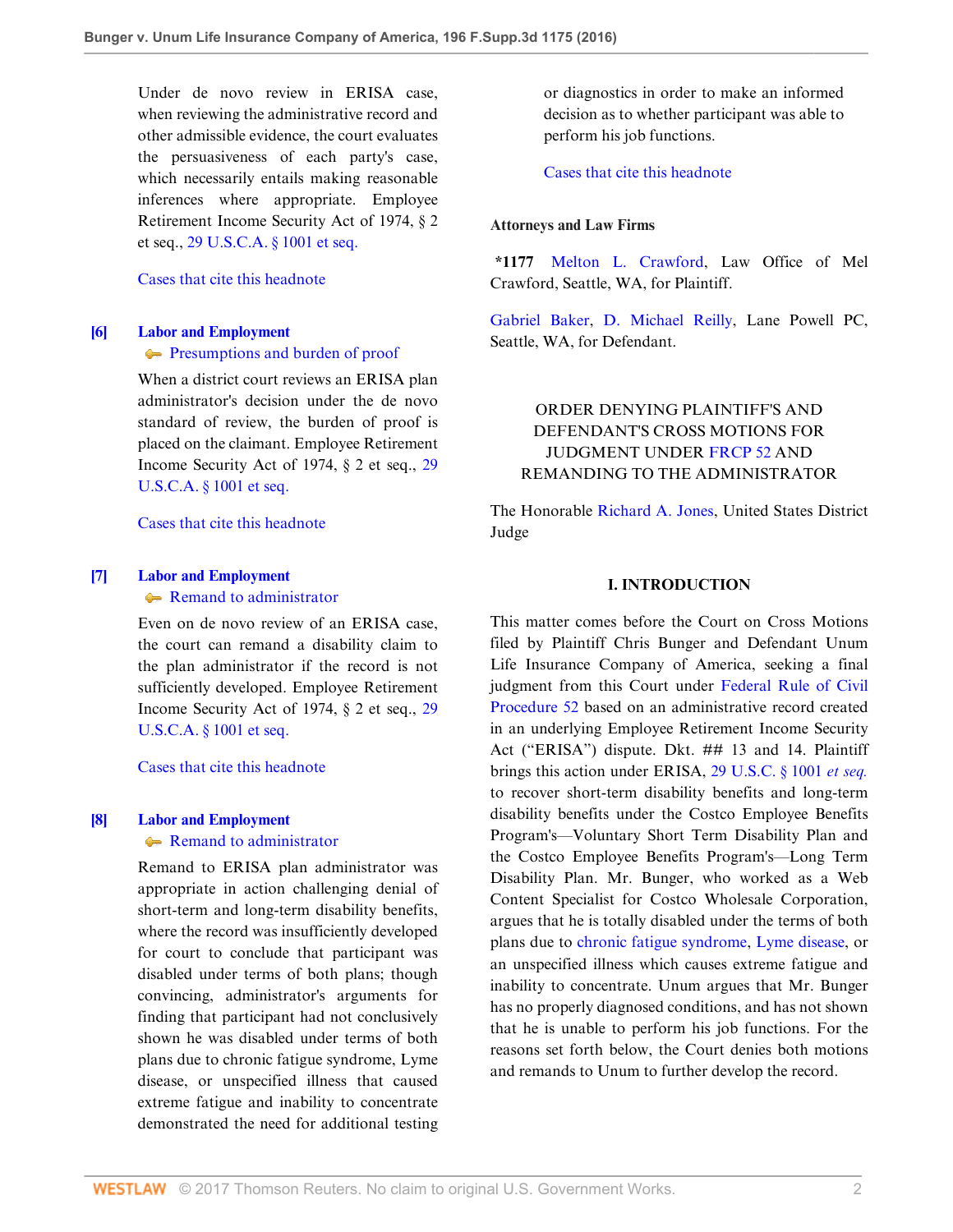Under de novo review in ERISA case, when reviewing the administrative record and other admissible evidence, the court evaluates the persuasiveness of each party's case, which necessarily entails making reasonable inferences where appropriate. Employee Retirement Income Security Act of 1974, § 2 et seq., [29 U.S.C.A. § 1001 et seq.](http://www.westlaw.com/Link/Document/FullText?findType=L&pubNum=1000546&cite=29USCAS1001&originatingDoc=Ia051ce304ee211e68e80d394640dd07e&refType=LQ&originationContext=document&vr=3.0&rs=cblt1.0&transitionType=DocumentItem&contextData=(sc.UserEnteredCitation))

#### [Cases that cite this headnote](http://www.westlaw.com/Link/RelatedInformation/DocHeadnoteLink?docGuid=Ia051ce304ee211e68e80d394640dd07e&headnoteId=203940014400520170328063343&originationContext=document&vr=3.0&rs=cblt1.0&transitionType=CitingReferences&contextData=(sc.UserEnteredCitation))

# <span id="page-1-1"></span>**[\[6\]](#page-8-3) [Labor and Employment](http://www.westlaw.com/Browse/Home/KeyNumber/231H/View.html?docGuid=Ia051ce304ee211e68e80d394640dd07e&originationContext=document&vr=3.0&rs=cblt1.0&transitionType=DocumentItem&contextData=(sc.UserEnteredCitation))**

**[Presumptions and burden of proof](http://www.westlaw.com/Browse/Home/KeyNumber/231Hk694/View.html?docGuid=Ia051ce304ee211e68e80d394640dd07e&originationContext=document&vr=3.0&rs=cblt1.0&transitionType=DocumentItem&contextData=(sc.UserEnteredCitation))** 

When a district court reviews an ERISA plan administrator's decision under the de novo standard of review, the burden of proof is placed on the claimant. Employee Retirement Income Security Act of 1974, § 2 et seq., [29](http://www.westlaw.com/Link/Document/FullText?findType=L&pubNum=1000546&cite=29USCAS1001&originatingDoc=Ia051ce304ee211e68e80d394640dd07e&refType=LQ&originationContext=document&vr=3.0&rs=cblt1.0&transitionType=DocumentItem&contextData=(sc.UserEnteredCitation)) [U.S.C.A. § 1001 et seq.](http://www.westlaw.com/Link/Document/FullText?findType=L&pubNum=1000546&cite=29USCAS1001&originatingDoc=Ia051ce304ee211e68e80d394640dd07e&refType=LQ&originationContext=document&vr=3.0&rs=cblt1.0&transitionType=DocumentItem&contextData=(sc.UserEnteredCitation))

[Cases that cite this headnote](http://www.westlaw.com/Link/RelatedInformation/DocHeadnoteLink?docGuid=Ia051ce304ee211e68e80d394640dd07e&headnoteId=203940014400620170328063343&originationContext=document&vr=3.0&rs=cblt1.0&transitionType=CitingReferences&contextData=(sc.UserEnteredCitation))

#### <span id="page-1-2"></span>**[\[7\]](#page-8-4) [Labor and Employment](http://www.westlaw.com/Browse/Home/KeyNumber/231H/View.html?docGuid=Ia051ce304ee211e68e80d394640dd07e&originationContext=document&vr=3.0&rs=cblt1.0&transitionType=DocumentItem&contextData=(sc.UserEnteredCitation))**

[Remand to administrator](http://www.westlaw.com/Browse/Home/KeyNumber/231Hk704/View.html?docGuid=Ia051ce304ee211e68e80d394640dd07e&originationContext=document&vr=3.0&rs=cblt1.0&transitionType=DocumentItem&contextData=(sc.UserEnteredCitation))

Even on de novo review of an ERISA case, the court can remand a disability claim to the plan administrator if the record is not sufficiently developed. Employee Retirement Income Security Act of 1974, § 2 et seq., [29](http://www.westlaw.com/Link/Document/FullText?findType=L&pubNum=1000546&cite=29USCAS1001&originatingDoc=Ia051ce304ee211e68e80d394640dd07e&refType=LQ&originationContext=document&vr=3.0&rs=cblt1.0&transitionType=DocumentItem&contextData=(sc.UserEnteredCitation)) [U.S.C.A. § 1001 et seq.](http://www.westlaw.com/Link/Document/FullText?findType=L&pubNum=1000546&cite=29USCAS1001&originatingDoc=Ia051ce304ee211e68e80d394640dd07e&refType=LQ&originationContext=document&vr=3.0&rs=cblt1.0&transitionType=DocumentItem&contextData=(sc.UserEnteredCitation))

[Cases that cite this headnote](http://www.westlaw.com/Link/RelatedInformation/DocHeadnoteLink?docGuid=Ia051ce304ee211e68e80d394640dd07e&headnoteId=203940014400720170328063343&originationContext=document&vr=3.0&rs=cblt1.0&transitionType=CitingReferences&contextData=(sc.UserEnteredCitation))

# <span id="page-1-0"></span>**[\[8\]](#page-8-5) [Labor and Employment](http://www.westlaw.com/Browse/Home/KeyNumber/231H/View.html?docGuid=Ia051ce304ee211e68e80d394640dd07e&originationContext=document&vr=3.0&rs=cblt1.0&transitionType=DocumentItem&contextData=(sc.UserEnteredCitation))**

# **[Remand to administrator](http://www.westlaw.com/Browse/Home/KeyNumber/231Hk704/View.html?docGuid=Ia051ce304ee211e68e80d394640dd07e&originationContext=document&vr=3.0&rs=cblt1.0&transitionType=DocumentItem&contextData=(sc.UserEnteredCitation))**

Remand to ERISA plan administrator was appropriate in action challenging denial of short-term and long-term disability benefits, where the record was insufficiently developed for court to conclude that participant was disabled under terms of both plans; though convincing, administrator's arguments for finding that participant had not conclusively shown he was disabled under terms of both plans due to chronic fatigue syndrome, Lyme disease, or unspecified illness that caused extreme fatigue and inability to concentrate demonstrated the need for additional testing or diagnostics in order to make an informed decision as to whether participant was able to perform his job functions.

[Cases that cite this headnote](http://www.westlaw.com/Link/RelatedInformation/DocHeadnoteLink?docGuid=Ia051ce304ee211e68e80d394640dd07e&headnoteId=203940014400920170328063343&originationContext=document&vr=3.0&rs=cblt1.0&transitionType=CitingReferences&contextData=(sc.UserEnteredCitation))

#### **Attorneys and Law Firms**

**\*1177** [Melton L. Crawford](http://www.westlaw.com/Link/Document/FullText?findType=h&pubNum=176284&cite=0168090501&originatingDoc=Ia051ce304ee211e68e80d394640dd07e&refType=RQ&originationContext=document&vr=3.0&rs=cblt1.0&transitionType=DocumentItem&contextData=(sc.UserEnteredCitation)), Law Office of Mel Crawford, Seattle, WA, for Plaintiff.

[Gabriel Baker,](http://www.westlaw.com/Link/Document/FullText?findType=h&pubNum=176284&cite=0335445101&originatingDoc=Ia051ce304ee211e68e80d394640dd07e&refType=RQ&originationContext=document&vr=3.0&rs=cblt1.0&transitionType=DocumentItem&contextData=(sc.UserEnteredCitation)) [D. Michael Reilly,](http://www.westlaw.com/Link/Document/FullText?findType=h&pubNum=176284&cite=0190733601&originatingDoc=Ia051ce304ee211e68e80d394640dd07e&refType=RQ&originationContext=document&vr=3.0&rs=cblt1.0&transitionType=DocumentItem&contextData=(sc.UserEnteredCitation)) Lane Powell PC, Seattle, WA, for Defendant.

# ORDER DENYING PLAINTIFF'S AND DEFENDANT'S CROSS MOTIONS FOR JUDGMENT UNDER [FRCP 52](http://www.westlaw.com/Link/Document/FullText?findType=L&pubNum=1000600&cite=USFRCPR52&originatingDoc=Ia051ce304ee211e68e80d394640dd07e&refType=LQ&originationContext=document&vr=3.0&rs=cblt1.0&transitionType=DocumentItem&contextData=(sc.UserEnteredCitation)) AND REMANDING TO THE ADMINISTRATOR

The Honorable [Richard A. Jones,](http://www.westlaw.com/Link/Document/FullText?findType=h&pubNum=176284&cite=0174547201&originatingDoc=Ia051ce304ee211e68e80d394640dd07e&refType=RQ&originationContext=document&vr=3.0&rs=cblt1.0&transitionType=DocumentItem&contextData=(sc.UserEnteredCitation)) United States District Judge

## **I. INTRODUCTION**

This matter comes before the Court on Cross Motions filed by Plaintiff Chris Bunger and Defendant Unum Life Insurance Company of America, seeking a final judgment from this Court under [Federal Rule of Civil](http://www.westlaw.com/Link/Document/FullText?findType=L&pubNum=1000600&cite=USFRCPR52&originatingDoc=Ia051ce304ee211e68e80d394640dd07e&refType=LQ&originationContext=document&vr=3.0&rs=cblt1.0&transitionType=DocumentItem&contextData=(sc.UserEnteredCitation)) [Procedure 52](http://www.westlaw.com/Link/Document/FullText?findType=L&pubNum=1000600&cite=USFRCPR52&originatingDoc=Ia051ce304ee211e68e80d394640dd07e&refType=LQ&originationContext=document&vr=3.0&rs=cblt1.0&transitionType=DocumentItem&contextData=(sc.UserEnteredCitation)) based on an administrative record created in an underlying Employee Retirement Income Security Act ("ERISA") dispute. Dkt. ## 13 and 14. Plaintiff brings this action under ERISA, [29 U.S.C. § 1001](http://www.westlaw.com/Link/Document/FullText?findType=L&pubNum=1000546&cite=29USCAS1001&originatingDoc=Ia051ce304ee211e68e80d394640dd07e&refType=LQ&originationContext=document&vr=3.0&rs=cblt1.0&transitionType=DocumentItem&contextData=(sc.UserEnteredCitation)) *et seq.* to recover short-term disability benefits and long-term disability benefits under the Costco Employee Benefits Program's—Voluntary Short Term Disability Plan and the Costco Employee Benefits Program's—Long Term Disability Plan. Mr. Bunger, who worked as a Web Content Specialist for Costco Wholesale Corporation, argues that he is totally disabled under the terms of both plans due to [chronic fatigue syndrome](http://www.westlaw.com/Link/Document/FullText?entityType=disease&entityId=Ic755df1d475411db9765f9243f53508a&originationContext=document&transitionType=DocumentItem&contextData=(sc.Default)&vr=3.0&rs=cblt1.0), [Lyme disease,](http://www.westlaw.com/Link/Document/FullText?entityType=disease&entityId=Ib21fe02a475411db9765f9243f53508a&originationContext=document&transitionType=DocumentItem&contextData=(sc.Default)&vr=3.0&rs=cblt1.0) or an unspecified illness which causes extreme fatigue and inability to concentrate. Unum argues that Mr. Bunger has no properly diagnosed conditions, and has not shown that he is unable to perform his job functions. For the reasons set forth below, the Court denies both motions and remands to Unum to further develop the record.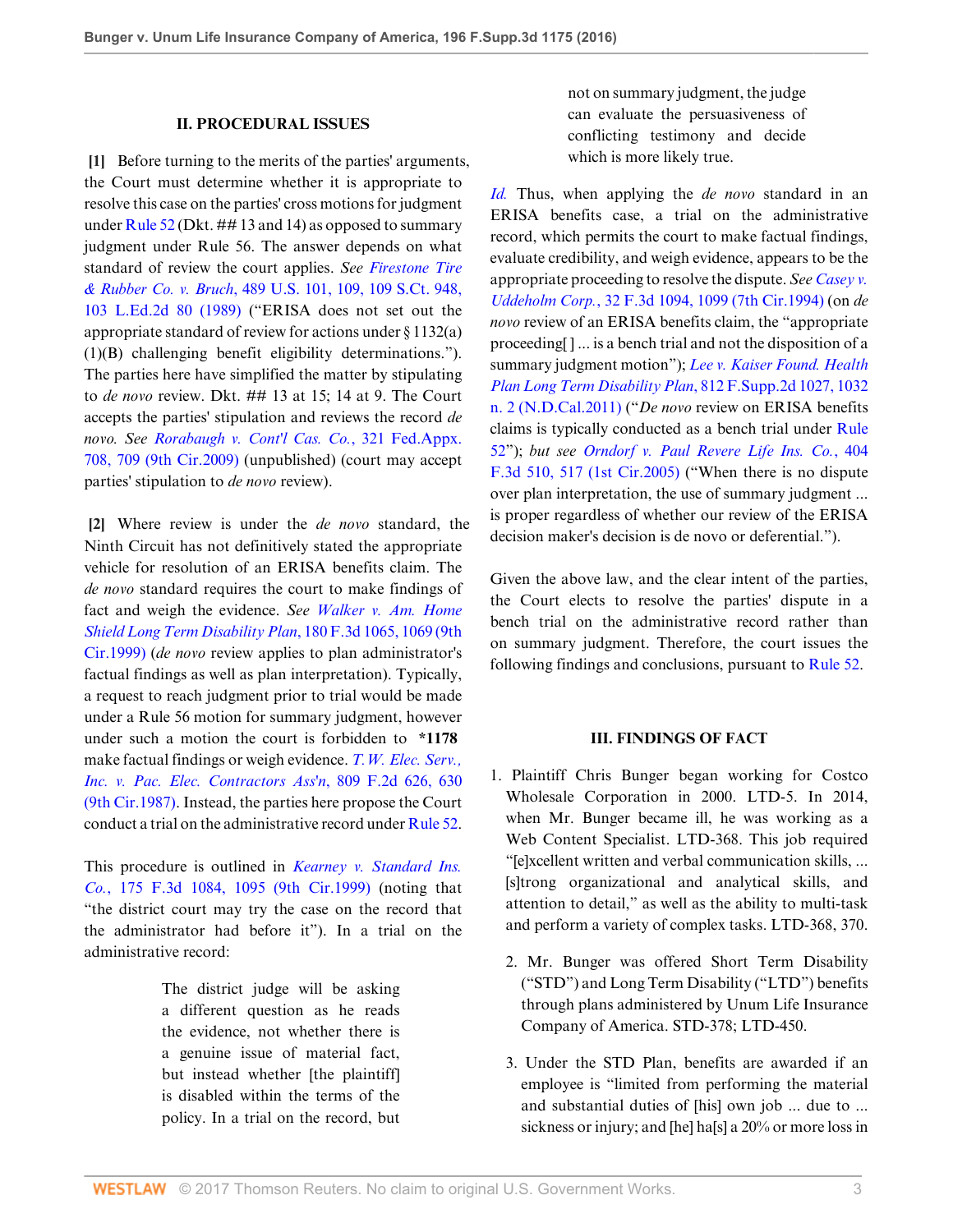#### **II. PROCEDURAL ISSUES**

<span id="page-2-0"></span>**[\[1](#page-0-0)]** Before turning to the merits of the parties' arguments, the Court must determine whether it is appropriate to resolve this case on the parties' cross motions for judgment under [Rule 52](http://www.westlaw.com/Link/Document/FullText?findType=L&pubNum=1000600&cite=USFRCPR52&originatingDoc=Ia051ce304ee211e68e80d394640dd07e&refType=LQ&originationContext=document&vr=3.0&rs=cblt1.0&transitionType=DocumentItem&contextData=(sc.UserEnteredCitation)) (Dkt. ## 13 and 14) as opposed to summary judgment under Rule 56. The answer depends on what standard of review the court applies. *See [Firestone Tire](http://www.westlaw.com/Link/Document/FullText?findType=Y&serNum=1989026578&pubNum=0000708&originatingDoc=Ia051ce304ee211e68e80d394640dd07e&refType=RP&originationContext=document&vr=3.0&rs=cblt1.0&transitionType=DocumentItem&contextData=(sc.UserEnteredCitation)) & Rubber Co. v. Bruch*[, 489 U.S. 101, 109, 109 S.Ct. 948,](http://www.westlaw.com/Link/Document/FullText?findType=Y&serNum=1989026578&pubNum=0000708&originatingDoc=Ia051ce304ee211e68e80d394640dd07e&refType=RP&originationContext=document&vr=3.0&rs=cblt1.0&transitionType=DocumentItem&contextData=(sc.UserEnteredCitation)) [103 L.Ed.2d 80 \(1989\)](http://www.westlaw.com/Link/Document/FullText?findType=Y&serNum=1989026578&pubNum=0000708&originatingDoc=Ia051ce304ee211e68e80d394640dd07e&refType=RP&originationContext=document&vr=3.0&rs=cblt1.0&transitionType=DocumentItem&contextData=(sc.UserEnteredCitation)) ("ERISA does not set out the appropriate standard of review for actions under § 1132(a) (1)(B) challenging benefit eligibility determinations."). The parties here have simplified the matter by stipulating to *de novo* review. Dkt. ## 13 at 15; 14 at 9. The Court accepts the parties' stipulation and reviews the record *de novo. See [Rorabaugh v. Cont'l Cas. Co.](http://www.westlaw.com/Link/Document/FullText?findType=Y&serNum=2018588601&pubNum=0006538&originatingDoc=Ia051ce304ee211e68e80d394640dd07e&refType=RP&fi=co_pp_sp_6538_709&originationContext=document&vr=3.0&rs=cblt1.0&transitionType=DocumentItem&contextData=(sc.UserEnteredCitation)#co_pp_sp_6538_709)*, 321 Fed.Appx. [708, 709 \(9th Cir.2009\)](http://www.westlaw.com/Link/Document/FullText?findType=Y&serNum=2018588601&pubNum=0006538&originatingDoc=Ia051ce304ee211e68e80d394640dd07e&refType=RP&fi=co_pp_sp_6538_709&originationContext=document&vr=3.0&rs=cblt1.0&transitionType=DocumentItem&contextData=(sc.UserEnteredCitation)#co_pp_sp_6538_709) (unpublished) (court may accept parties' stipulation to *de novo* review).

<span id="page-2-1"></span>**[\[2](#page-0-1)]** Where review is under the *de novo* standard, the Ninth Circuit has not definitively stated the appropriate vehicle for resolution of an ERISA benefits claim. The *de novo* standard requires the court to make findings of fact and weigh the evidence. *See [Walker v. Am. Home](http://www.westlaw.com/Link/Document/FullText?findType=Y&serNum=1999141161&pubNum=0000506&originatingDoc=Ia051ce304ee211e68e80d394640dd07e&refType=RP&fi=co_pp_sp_506_1069&originationContext=document&vr=3.0&rs=cblt1.0&transitionType=DocumentItem&contextData=(sc.UserEnteredCitation)#co_pp_sp_506_1069) [Shield Long Term Disability Plan](http://www.westlaw.com/Link/Document/FullText?findType=Y&serNum=1999141161&pubNum=0000506&originatingDoc=Ia051ce304ee211e68e80d394640dd07e&refType=RP&fi=co_pp_sp_506_1069&originationContext=document&vr=3.0&rs=cblt1.0&transitionType=DocumentItem&contextData=(sc.UserEnteredCitation)#co_pp_sp_506_1069)*, 180 F.3d 1065, 1069 (9th [Cir.1999\)](http://www.westlaw.com/Link/Document/FullText?findType=Y&serNum=1999141161&pubNum=0000506&originatingDoc=Ia051ce304ee211e68e80d394640dd07e&refType=RP&fi=co_pp_sp_506_1069&originationContext=document&vr=3.0&rs=cblt1.0&transitionType=DocumentItem&contextData=(sc.UserEnteredCitation)#co_pp_sp_506_1069) (*de novo* review applies to plan administrator's factual findings as well as plan interpretation). Typically, a request to reach judgment prior to trial would be made under a Rule 56 motion for summary judgment, however under such a motion the court is forbidden to **\*1178** make factual findings or weigh evidence. *[T.W. Elec. Serv.,](http://www.westlaw.com/Link/Document/FullText?findType=Y&serNum=1987015303&pubNum=0000350&originatingDoc=Ia051ce304ee211e68e80d394640dd07e&refType=RP&fi=co_pp_sp_350_630&originationContext=document&vr=3.0&rs=cblt1.0&transitionType=DocumentItem&contextData=(sc.UserEnteredCitation)#co_pp_sp_350_630) [Inc. v. Pac. Elec. Contractors Ass'n](http://www.westlaw.com/Link/Document/FullText?findType=Y&serNum=1987015303&pubNum=0000350&originatingDoc=Ia051ce304ee211e68e80d394640dd07e&refType=RP&fi=co_pp_sp_350_630&originationContext=document&vr=3.0&rs=cblt1.0&transitionType=DocumentItem&contextData=(sc.UserEnteredCitation)#co_pp_sp_350_630)*, 809 F.2d 626, 630 [\(9th Cir.1987\)](http://www.westlaw.com/Link/Document/FullText?findType=Y&serNum=1987015303&pubNum=0000350&originatingDoc=Ia051ce304ee211e68e80d394640dd07e&refType=RP&fi=co_pp_sp_350_630&originationContext=document&vr=3.0&rs=cblt1.0&transitionType=DocumentItem&contextData=(sc.UserEnteredCitation)#co_pp_sp_350_630). Instead, the parties here propose the Court conduct a trial on the administrative record under [Rule 52](http://www.westlaw.com/Link/Document/FullText?findType=L&pubNum=1000600&cite=USFRCPR52&originatingDoc=Ia051ce304ee211e68e80d394640dd07e&refType=LQ&originationContext=document&vr=3.0&rs=cblt1.0&transitionType=DocumentItem&contextData=(sc.UserEnteredCitation)).

This procedure is outlined in *[Kearney v. Standard Ins.](http://www.westlaw.com/Link/Document/FullText?findType=Y&serNum=1999110922&pubNum=0000506&originatingDoc=Ia051ce304ee211e68e80d394640dd07e&refType=RP&fi=co_pp_sp_506_1095&originationContext=document&vr=3.0&rs=cblt1.0&transitionType=DocumentItem&contextData=(sc.UserEnteredCitation)#co_pp_sp_506_1095) Co.*[, 175 F.3d 1084, 1095 \(9th Cir.1999\)](http://www.westlaw.com/Link/Document/FullText?findType=Y&serNum=1999110922&pubNum=0000506&originatingDoc=Ia051ce304ee211e68e80d394640dd07e&refType=RP&fi=co_pp_sp_506_1095&originationContext=document&vr=3.0&rs=cblt1.0&transitionType=DocumentItem&contextData=(sc.UserEnteredCitation)#co_pp_sp_506_1095) (noting that "the district court may try the case on the record that the administrator had before it"). In a trial on the administrative record:

> The district judge will be asking a different question as he reads the evidence, not whether there is a genuine issue of material fact, but instead whether [the plaintiff] is disabled within the terms of the policy. In a trial on the record, but

not on summary judgment, the judge can evaluate the persuasiveness of conflicting testimony and decide which is more likely true.

*[Id.](http://www.westlaw.com/Link/Document/FullText?findType=Y&serNum=1999110922&pubNum=0000506&originatingDoc=Ia051ce304ee211e68e80d394640dd07e&refType=RP&originationContext=document&vr=3.0&rs=cblt1.0&transitionType=DocumentItem&contextData=(sc.UserEnteredCitation))* Thus, when applying the *de novo* standard in an ERISA benefits case, a trial on the administrative record, which permits the court to make factual findings, evaluate credibility, and weigh evidence, appears to be the appropriate proceeding to resolve the dispute. *See [Casey v.](http://www.westlaw.com/Link/Document/FullText?findType=Y&serNum=1994168382&pubNum=0000506&originatingDoc=Ia051ce304ee211e68e80d394640dd07e&refType=RP&fi=co_pp_sp_506_1099&originationContext=document&vr=3.0&rs=cblt1.0&transitionType=DocumentItem&contextData=(sc.UserEnteredCitation)#co_pp_sp_506_1099) Uddeholm Corp.*[, 32 F.3d 1094, 1099 \(7th Cir.1994\)](http://www.westlaw.com/Link/Document/FullText?findType=Y&serNum=1994168382&pubNum=0000506&originatingDoc=Ia051ce304ee211e68e80d394640dd07e&refType=RP&fi=co_pp_sp_506_1099&originationContext=document&vr=3.0&rs=cblt1.0&transitionType=DocumentItem&contextData=(sc.UserEnteredCitation)#co_pp_sp_506_1099) (on *de novo* review of an ERISA benefits claim, the "appropriate proceeding[ ] ... is a bench trial and not the disposition of a summary judgment motion"); *[Lee v. Kaiser Found. Health](http://www.westlaw.com/Link/Document/FullText?findType=Y&serNum=2026213006&pubNum=0004637&originatingDoc=Ia051ce304ee211e68e80d394640dd07e&refType=RP&fi=co_pp_sp_4637_1032&originationContext=document&vr=3.0&rs=cblt1.0&transitionType=DocumentItem&contextData=(sc.UserEnteredCitation)#co_pp_sp_4637_1032) [Plan Long Term Disability Plan](http://www.westlaw.com/Link/Document/FullText?findType=Y&serNum=2026213006&pubNum=0004637&originatingDoc=Ia051ce304ee211e68e80d394640dd07e&refType=RP&fi=co_pp_sp_4637_1032&originationContext=document&vr=3.0&rs=cblt1.0&transitionType=DocumentItem&contextData=(sc.UserEnteredCitation)#co_pp_sp_4637_1032)*, 812 F.Supp.2d 1027, 1032 [n. 2 \(N.D.Cal.2011\)](http://www.westlaw.com/Link/Document/FullText?findType=Y&serNum=2026213006&pubNum=0004637&originatingDoc=Ia051ce304ee211e68e80d394640dd07e&refType=RP&fi=co_pp_sp_4637_1032&originationContext=document&vr=3.0&rs=cblt1.0&transitionType=DocumentItem&contextData=(sc.UserEnteredCitation)#co_pp_sp_4637_1032) ("*De novo* review on ERISA benefits claims is typically conducted as a bench trial under [Rule](http://www.westlaw.com/Link/Document/FullText?findType=L&pubNum=1000600&cite=USFRCPR52&originatingDoc=Ia051ce304ee211e68e80d394640dd07e&refType=LQ&originationContext=document&vr=3.0&rs=cblt1.0&transitionType=DocumentItem&contextData=(sc.UserEnteredCitation)) [52](http://www.westlaw.com/Link/Document/FullText?findType=L&pubNum=1000600&cite=USFRCPR52&originatingDoc=Ia051ce304ee211e68e80d394640dd07e&refType=LQ&originationContext=document&vr=3.0&rs=cblt1.0&transitionType=DocumentItem&contextData=(sc.UserEnteredCitation))"); *but see [Orndorf v. Paul Revere Life Ins. Co.](http://www.westlaw.com/Link/Document/FullText?findType=Y&serNum=2006469947&pubNum=0000506&originatingDoc=Ia051ce304ee211e68e80d394640dd07e&refType=RP&fi=co_pp_sp_506_517&originationContext=document&vr=3.0&rs=cblt1.0&transitionType=DocumentItem&contextData=(sc.UserEnteredCitation)#co_pp_sp_506_517)*, 404 [F.3d 510, 517 \(1st Cir.2005\)](http://www.westlaw.com/Link/Document/FullText?findType=Y&serNum=2006469947&pubNum=0000506&originatingDoc=Ia051ce304ee211e68e80d394640dd07e&refType=RP&fi=co_pp_sp_506_517&originationContext=document&vr=3.0&rs=cblt1.0&transitionType=DocumentItem&contextData=(sc.UserEnteredCitation)#co_pp_sp_506_517) ("When there is no dispute over plan interpretation, the use of summary judgment ... is proper regardless of whether our review of the ERISA decision maker's decision is de novo or deferential.").

Given the above law, and the clear intent of the parties, the Court elects to resolve the parties' dispute in a bench trial on the administrative record rather than on summary judgment. Therefore, the court issues the following findings and conclusions, pursuant to [Rule 52](http://www.westlaw.com/Link/Document/FullText?findType=L&pubNum=1000600&cite=USFRCPR52&originatingDoc=Ia051ce304ee211e68e80d394640dd07e&refType=LQ&originationContext=document&vr=3.0&rs=cblt1.0&transitionType=DocumentItem&contextData=(sc.UserEnteredCitation)).

#### **III. FINDINGS OF FACT**

- 1. Plaintiff Chris Bunger began working for Costco Wholesale Corporation in 2000. LTD-5. In 2014, when Mr. Bunger became ill, he was working as a Web Content Specialist. LTD-368. This job required "[e]xcellent written and verbal communication skills, ... [s]trong organizational and analytical skills, and attention to detail," as well as the ability to multi-task and perform a variety of complex tasks. LTD-368, 370.
	- 2. Mr. Bunger was offered Short Term Disability ("STD") and Long Term Disability ("LTD") benefits through plans administered by Unum Life Insurance Company of America. STD-378; LTD-450.
	- 3. Under the STD Plan, benefits are awarded if an employee is "limited from performing the material and substantial duties of [his] own job ... due to ... sickness or injury; and [he] ha[s] a 20% or more loss in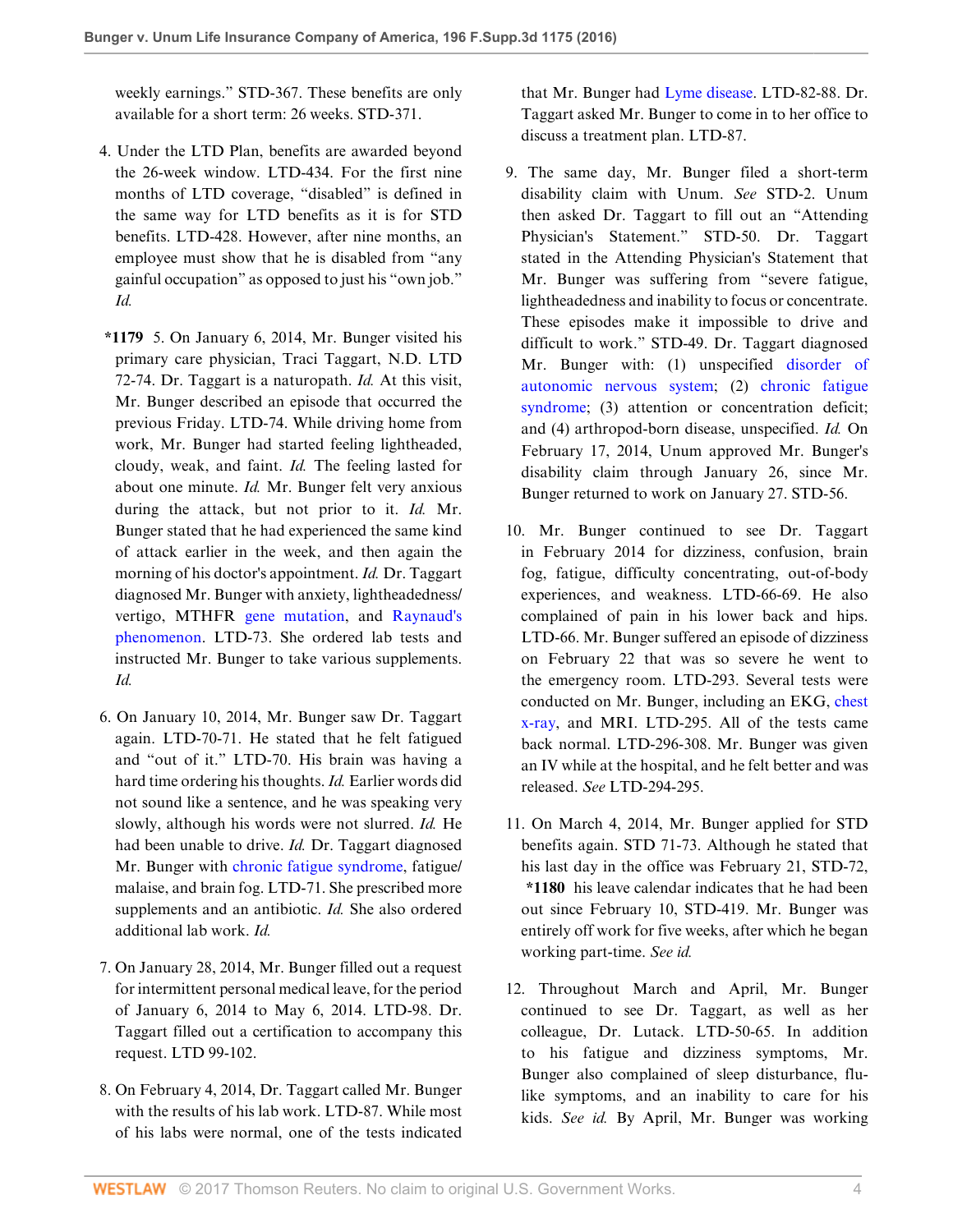weekly earnings." STD-367. These benefits are only available for a short term: 26 weeks. STD-371.

- 4. Under the LTD Plan, benefits are awarded beyond the 26-week window. LTD-434. For the first nine months of LTD coverage, "disabled" is defined in the same way for LTD benefits as it is for STD benefits. LTD-428. However, after nine months, an employee must show that he is disabled from "any gainful occupation" as opposed to just his "own job." *Id.*
- **\*1179** 5. On January 6, 2014, Mr. Bunger visited his primary care physician, Traci Taggart, N.D. LTD 72-74. Dr. Taggart is a naturopath. *Id.* At this visit, Mr. Bunger described an episode that occurred the previous Friday. LTD-74. While driving home from work, Mr. Bunger had started feeling lightheaded, cloudy, weak, and faint. *Id.* The feeling lasted for about one minute. *Id.* Mr. Bunger felt very anxious during the attack, but not prior to it. *Id.* Mr. Bunger stated that he had experienced the same kind of attack earlier in the week, and then again the morning of his doctor's appointment. *Id.* Dr. Taggart diagnosed Mr. Bunger with anxiety, lightheadedness/ vertigo, MTHFR [gene mutation,](http://www.westlaw.com/Link/Document/FullText?entityType=disease&entityId=I777c6a64995711de9b8c850332338889&originationContext=document&transitionType=DocumentItem&contextData=(sc.Default)&vr=3.0&rs=cblt1.0) and [Raynaud's](http://www.westlaw.com/Link/Document/FullText?entityType=disease&entityId=Icb53e798475411db9765f9243f53508a&originationContext=document&transitionType=DocumentItem&contextData=(sc.Default)&vr=3.0&rs=cblt1.0) [phenomenon.](http://www.westlaw.com/Link/Document/FullText?entityType=disease&entityId=Icb53e798475411db9765f9243f53508a&originationContext=document&transitionType=DocumentItem&contextData=(sc.Default)&vr=3.0&rs=cblt1.0) LTD-73. She ordered lab tests and instructed Mr. Bunger to take various supplements. *Id.*
- 6. On January 10, 2014, Mr. Bunger saw Dr. Taggart again. LTD-70-71. He stated that he felt fatigued and "out of it." LTD-70. His brain was having a hard time ordering his thoughts. *Id.* Earlier words did not sound like a sentence, and he was speaking very slowly, although his words were not slurred. *Id.* He had been unable to drive. *Id.* Dr. Taggart diagnosed Mr. Bunger with [chronic fatigue syndrome](http://www.westlaw.com/Link/Document/FullText?entityType=disease&entityId=Ic755df1d475411db9765f9243f53508a&originationContext=document&transitionType=DocumentItem&contextData=(sc.Default)&vr=3.0&rs=cblt1.0), fatigue/ malaise, and brain fog. LTD-71. She prescribed more supplements and an antibiotic. *Id.* She also ordered additional lab work. *Id.*
- 7. On January 28, 2014, Mr. Bunger filled out a request for intermittent personal medical leave, for the period of January 6, 2014 to May 6, 2014. LTD-98. Dr. Taggart filled out a certification to accompany this request. LTD 99-102.
- 8. On February 4, 2014, Dr. Taggart called Mr. Bunger with the results of his lab work. LTD-87. While most of his labs were normal, one of the tests indicated

that Mr. Bunger had [Lyme disease.](http://www.westlaw.com/Link/Document/FullText?entityType=disease&entityId=Ib21fe02a475411db9765f9243f53508a&originationContext=document&transitionType=DocumentItem&contextData=(sc.Default)&vr=3.0&rs=cblt1.0) LTD-82-88. Dr. Taggart asked Mr. Bunger to come in to her office to discuss a treatment plan. LTD-87.

- 9. The same day, Mr. Bunger filed a short-term disability claim with Unum. *See* STD-2. Unum then asked Dr. Taggart to fill out an "Attending Physician's Statement." STD-50. Dr. Taggart stated in the Attending Physician's Statement that Mr. Bunger was suffering from "severe fatigue, lightheadedness and inability to focus or concentrate. These episodes make it impossible to drive and difficult to work." STD-49. Dr. Taggart diagnosed Mr. Bunger with: (1) unspecified [disorder of](http://www.westlaw.com/Link/Document/FullText?entityType=disease&entityId=Iaf351c9b475411db9765f9243f53508a&originationContext=document&transitionType=DocumentItem&contextData=(sc.Default)&vr=3.0&rs=cblt1.0) [autonomic nervous system;](http://www.westlaw.com/Link/Document/FullText?entityType=disease&entityId=Iaf351c9b475411db9765f9243f53508a&originationContext=document&transitionType=DocumentItem&contextData=(sc.Default)&vr=3.0&rs=cblt1.0) (2) [chronic fatigue](http://www.westlaw.com/Link/Document/FullText?entityType=disease&entityId=Ic755df1d475411db9765f9243f53508a&originationContext=document&transitionType=DocumentItem&contextData=(sc.Default)&vr=3.0&rs=cblt1.0) [syndrome;](http://www.westlaw.com/Link/Document/FullText?entityType=disease&entityId=Ic755df1d475411db9765f9243f53508a&originationContext=document&transitionType=DocumentItem&contextData=(sc.Default)&vr=3.0&rs=cblt1.0) (3) attention or concentration deficit; and (4) arthropod-born disease, unspecified. *Id.* On February 17, 2014, Unum approved Mr. Bunger's disability claim through January 26, since Mr. Bunger returned to work on January 27. STD-56.
- 10. Mr. Bunger continued to see Dr. Taggart in February 2014 for dizziness, confusion, brain fog, fatigue, difficulty concentrating, out-of-body experiences, and weakness. LTD-66-69. He also complained of pain in his lower back and hips. LTD-66. Mr. Bunger suffered an episode of dizziness on February 22 that was so severe he went to the emergency room. LTD-293. Several tests were conducted on Mr. Bunger, including an EKG, [chest](http://www.westlaw.com/Link/Document/FullText?entityType=mproc&entityId=Ibe3fd188475411db9765f9243f53508a&originationContext=document&transitionType=DocumentItem&contextData=(sc.Default)&vr=3.0&rs=cblt1.0) [x-ray](http://www.westlaw.com/Link/Document/FullText?entityType=mproc&entityId=Ibe3fd188475411db9765f9243f53508a&originationContext=document&transitionType=DocumentItem&contextData=(sc.Default)&vr=3.0&rs=cblt1.0), and MRI. LTD-295. All of the tests came back normal. LTD-296-308. Mr. Bunger was given an IV while at the hospital, and he felt better and was released. *See* LTD-294-295.
- 11. On March 4, 2014, Mr. Bunger applied for STD benefits again. STD 71-73. Although he stated that his last day in the office was February 21, STD-72, **\*1180** his leave calendar indicates that he had been out since February 10, STD-419. Mr. Bunger was entirely off work for five weeks, after which he began working part-time. *See id.*
- 12. Throughout March and April, Mr. Bunger continued to see Dr. Taggart, as well as her colleague, Dr. Lutack. LTD-50-65. In addition to his fatigue and dizziness symptoms, Mr. Bunger also complained of sleep disturbance, flulike symptoms, and an inability to care for his kids. *See id.* By April, Mr. Bunger was working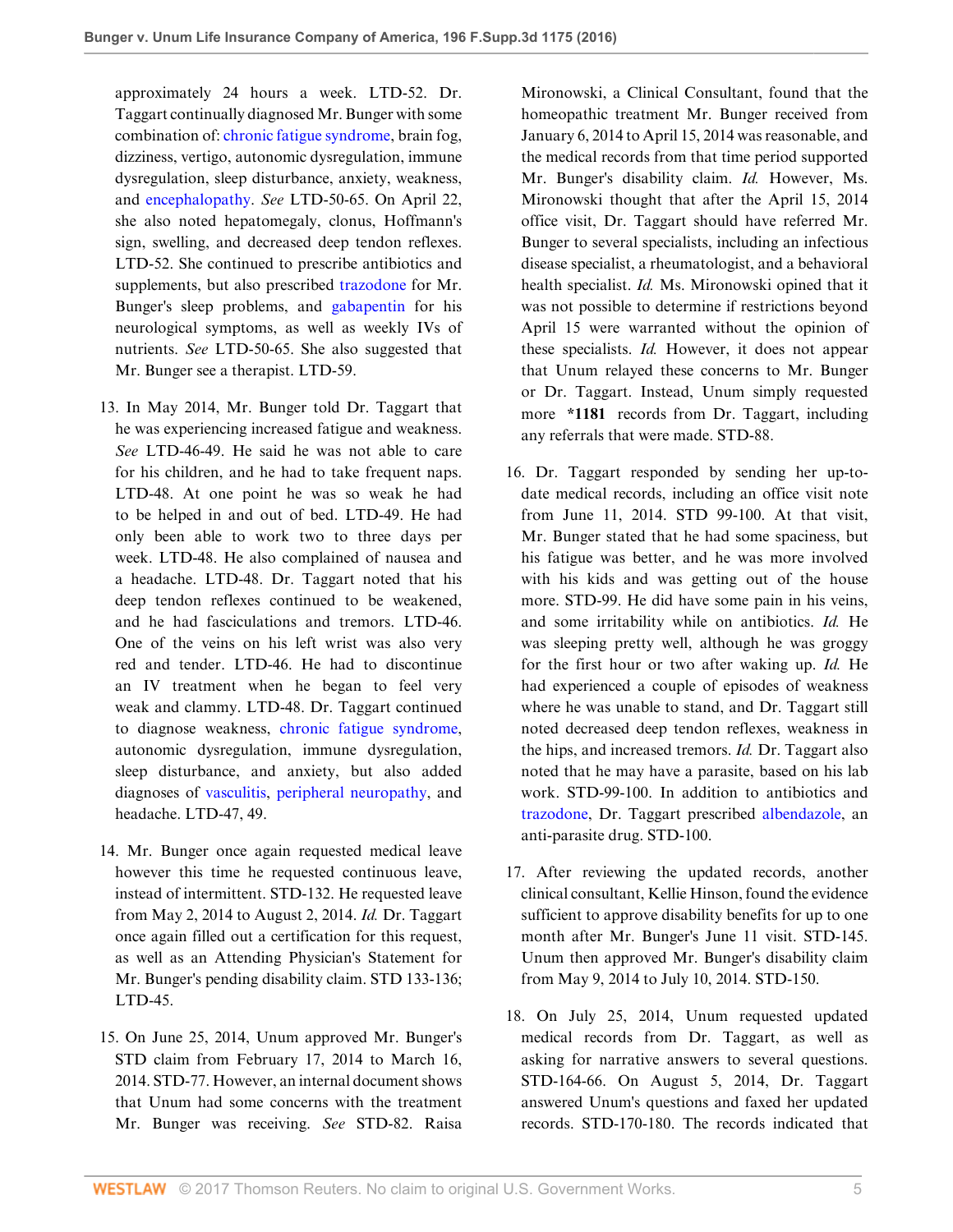approximately 24 hours a week. LTD-52. Dr. Taggart continually diagnosed Mr. Bunger with some combination of: [chronic fatigue syndrome,](http://www.westlaw.com/Link/Document/FullText?entityType=disease&entityId=Ic755df1d475411db9765f9243f53508a&originationContext=document&transitionType=DocumentItem&contextData=(sc.Default)&vr=3.0&rs=cblt1.0) brain fog, dizziness, vertigo, autonomic dysregulation, immune dysregulation, sleep disturbance, anxiety, weakness, and [encephalopathy](http://www.westlaw.com/Link/Document/FullText?entityType=disease&entityId=Ibd1c121a475411db9765f9243f53508a&originationContext=document&transitionType=DocumentItem&contextData=(sc.Default)&vr=3.0&rs=cblt1.0). *See* LTD-50-65. On April 22, she also noted hepatomegaly, clonus, Hoffmann's sign, swelling, and decreased deep tendon reflexes. LTD-52. She continued to prescribe antibiotics and supplements, but also prescribed [trazodone](http://www.westlaw.com/Link/Document/FullText?entityType=gdrug&entityId=I3af1591f475111db9765f9243f53508a&originationContext=document&transitionType=DocumentItem&contextData=(sc.Default)&vr=3.0&rs=cblt1.0) for Mr. Bunger's sleep problems, and [gabapentin](http://www.westlaw.com/Link/Document/FullText?entityType=gdrug&entityId=I3b37141f475111db9765f9243f53508a&originationContext=document&transitionType=DocumentItem&contextData=(sc.Default)&vr=3.0&rs=cblt1.0) for his neurological symptoms, as well as weekly IVs of nutrients. *See* LTD-50-65. She also suggested that Mr. Bunger see a therapist. LTD-59.

- 13. In May 2014, Mr. Bunger told Dr. Taggart that he was experiencing increased fatigue and weakness. *See* LTD-46-49. He said he was not able to care for his children, and he had to take frequent naps. LTD-48. At one point he was so weak he had to be helped in and out of bed. LTD-49. He had only been able to work two to three days per week. LTD-48. He also complained of nausea and a headache. LTD-48. Dr. Taggart noted that his deep tendon reflexes continued to be weakened, and he had fasciculations and tremors. LTD-46. One of the veins on his left wrist was also very red and tender. LTD-46. He had to discontinue an IV treatment when he began to feel very weak and clammy. LTD-48. Dr. Taggart continued to diagnose weakness, [chronic fatigue syndrome](http://www.westlaw.com/Link/Document/FullText?entityType=disease&entityId=Ic755df1d475411db9765f9243f53508a&originationContext=document&transitionType=DocumentItem&contextData=(sc.Default)&vr=3.0&rs=cblt1.0), autonomic dysregulation, immune dysregulation, sleep disturbance, and anxiety, but also added diagnoses of [vasculitis](http://www.westlaw.com/Link/Document/FullText?entityType=disease&entityId=Ib7c7c8e9475411db9765f9243f53508a&originationContext=document&transitionType=DocumentItem&contextData=(sc.Default)&vr=3.0&rs=cblt1.0), [peripheral neuropathy](http://www.westlaw.com/Link/Document/FullText?entityType=disease&entityId=Ic1b08e98475411db9765f9243f53508a&originationContext=document&transitionType=DocumentItem&contextData=(sc.Default)&vr=3.0&rs=cblt1.0), and headache. LTD-47, 49.
- 14. Mr. Bunger once again requested medical leave however this time he requested continuous leave, instead of intermittent. STD-132. He requested leave from May 2, 2014 to August 2, 2014. *Id.* Dr. Taggart once again filled out a certification for this request, as well as an Attending Physician's Statement for Mr. Bunger's pending disability claim. STD 133-136; LTD-45.
- 15. On June 25, 2014, Unum approved Mr. Bunger's STD claim from February 17, 2014 to March 16, 2014. STD-77. However, an internal document shows that Unum had some concerns with the treatment Mr. Bunger was receiving. *See* STD-82. Raisa

Mironowski, a Clinical Consultant, found that the homeopathic treatment Mr. Bunger received from January 6, 2014 to April 15, 2014 was reasonable, and the medical records from that time period supported Mr. Bunger's disability claim. *Id.* However, Ms. Mironowski thought that after the April 15, 2014 office visit, Dr. Taggart should have referred Mr. Bunger to several specialists, including an infectious disease specialist, a rheumatologist, and a behavioral health specialist. *Id.* Ms. Mironowski opined that it was not possible to determine if restrictions beyond April 15 were warranted without the opinion of these specialists. *Id.* However, it does not appear that Unum relayed these concerns to Mr. Bunger or Dr. Taggart. Instead, Unum simply requested more **\*1181** records from Dr. Taggart, including any referrals that were made. STD-88.

- 16. Dr. Taggart responded by sending her up-todate medical records, including an office visit note from June 11, 2014. STD 99-100. At that visit, Mr. Bunger stated that he had some spaciness, but his fatigue was better, and he was more involved with his kids and was getting out of the house more. STD-99. He did have some pain in his veins, and some irritability while on antibiotics. *Id.* He was sleeping pretty well, although he was groggy for the first hour or two after waking up. *Id.* He had experienced a couple of episodes of weakness where he was unable to stand, and Dr. Taggart still noted decreased deep tendon reflexes, weakness in the hips, and increased tremors. *Id.* Dr. Taggart also noted that he may have a parasite, based on his lab work. STD-99-100. In addition to antibiotics and [trazodone](http://www.westlaw.com/Link/Document/FullText?entityType=gdrug&entityId=I3af1591f475111db9765f9243f53508a&originationContext=document&transitionType=DocumentItem&contextData=(sc.Default)&vr=3.0&rs=cblt1.0), Dr. Taggart prescribed [albendazole,](http://www.westlaw.com/Link/Document/FullText?entityType=gdrug&entityId=I3b6a5919475111db9765f9243f53508a&originationContext=document&transitionType=DocumentItem&contextData=(sc.Default)&vr=3.0&rs=cblt1.0) an anti-parasite drug. STD-100.
- 17. After reviewing the updated records, another clinical consultant, Kellie Hinson, found the evidence sufficient to approve disability benefits for up to one month after Mr. Bunger's June 11 visit. STD-145. Unum then approved Mr. Bunger's disability claim from May 9, 2014 to July 10, 2014. STD-150.
- 18. On July 25, 2014, Unum requested updated medical records from Dr. Taggart, as well as asking for narrative answers to several questions. STD-164-66. On August 5, 2014, Dr. Taggart answered Unum's questions and faxed her updated records. STD-170-180. The records indicated that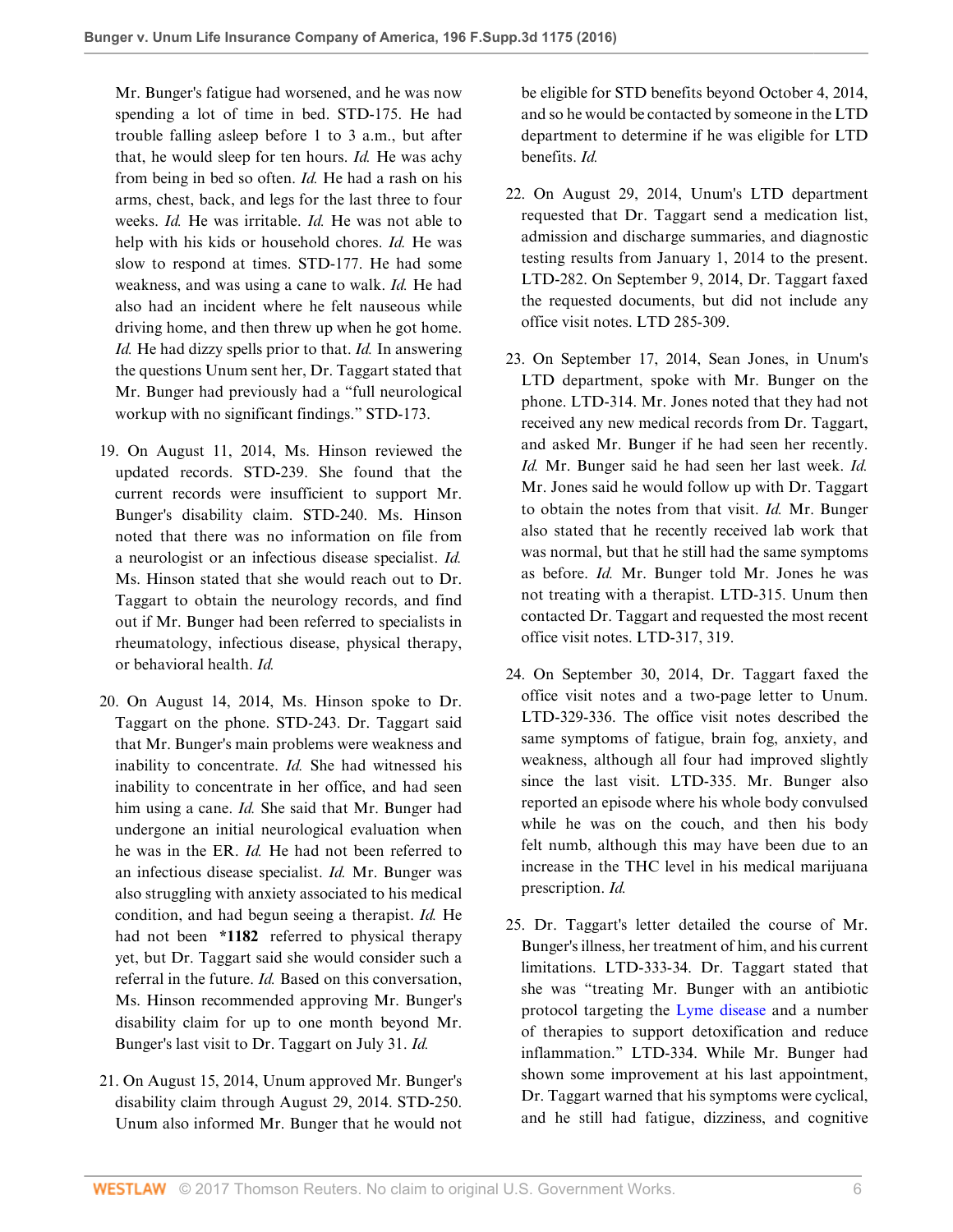Mr. Bunger's fatigue had worsened, and he was now spending a lot of time in bed. STD-175. He had trouble falling asleep before 1 to 3 a.m., but after that, he would sleep for ten hours. *Id.* He was achy from being in bed so often. *Id.* He had a rash on his arms, chest, back, and legs for the last three to four weeks. *Id.* He was irritable. *Id.* He was not able to help with his kids or household chores. *Id.* He was slow to respond at times. STD-177. He had some weakness, and was using a cane to walk. *Id.* He had also had an incident where he felt nauseous while driving home, and then threw up when he got home. *Id.* He had dizzy spells prior to that. *Id.* In answering the questions Unum sent her, Dr. Taggart stated that Mr. Bunger had previously had a "full neurological workup with no significant findings." STD-173.

- 19. On August 11, 2014, Ms. Hinson reviewed the updated records. STD-239. She found that the current records were insufficient to support Mr. Bunger's disability claim. STD-240. Ms. Hinson noted that there was no information on file from a neurologist or an infectious disease specialist. *Id.* Ms. Hinson stated that she would reach out to Dr. Taggart to obtain the neurology records, and find out if Mr. Bunger had been referred to specialists in rheumatology, infectious disease, physical therapy, or behavioral health. *Id.*
- 20. On August 14, 2014, Ms. Hinson spoke to Dr. Taggart on the phone. STD-243. Dr. Taggart said that Mr. Bunger's main problems were weakness and inability to concentrate. *Id.* She had witnessed his inability to concentrate in her office, and had seen him using a cane. *Id.* She said that Mr. Bunger had undergone an initial neurological evaluation when he was in the ER. *Id.* He had not been referred to an infectious disease specialist. *Id.* Mr. Bunger was also struggling with anxiety associated to his medical condition, and had begun seeing a therapist. *Id.* He had not been **\*1182** referred to physical therapy yet, but Dr. Taggart said she would consider such a referral in the future. *Id.* Based on this conversation, Ms. Hinson recommended approving Mr. Bunger's disability claim for up to one month beyond Mr. Bunger's last visit to Dr. Taggart on July 31. *Id.*
- 21. On August 15, 2014, Unum approved Mr. Bunger's disability claim through August 29, 2014. STD-250. Unum also informed Mr. Bunger that he would not

be eligible for STD benefits beyond October 4, 2014, and so he would be contacted by someone in the LTD department to determine if he was eligible for LTD benefits. *Id.*

- 22. On August 29, 2014, Unum's LTD department requested that Dr. Taggart send a medication list, admission and discharge summaries, and diagnostic testing results from January 1, 2014 to the present. LTD-282. On September 9, 2014, Dr. Taggart faxed the requested documents, but did not include any office visit notes. LTD 285-309.
- 23. On September 17, 2014, Sean Jones, in Unum's LTD department, spoke with Mr. Bunger on the phone. LTD-314. Mr. Jones noted that they had not received any new medical records from Dr. Taggart, and asked Mr. Bunger if he had seen her recently. *Id.* Mr. Bunger said he had seen her last week. *Id.* Mr. Jones said he would follow up with Dr. Taggart to obtain the notes from that visit. *Id.* Mr. Bunger also stated that he recently received lab work that was normal, but that he still had the same symptoms as before. *Id.* Mr. Bunger told Mr. Jones he was not treating with a therapist. LTD-315. Unum then contacted Dr. Taggart and requested the most recent office visit notes. LTD-317, 319.
- 24. On September 30, 2014, Dr. Taggart faxed the office visit notes and a two-page letter to Unum. LTD-329-336. The office visit notes described the same symptoms of fatigue, brain fog, anxiety, and weakness, although all four had improved slightly since the last visit. LTD-335. Mr. Bunger also reported an episode where his whole body convulsed while he was on the couch, and then his body felt numb, although this may have been due to an increase in the THC level in his medical marijuana prescription. *Id.*
- 25. Dr. Taggart's letter detailed the course of Mr. Bunger's illness, her treatment of him, and his current limitations. LTD-333-34. Dr. Taggart stated that she was "treating Mr. Bunger with an antibiotic protocol targeting the [Lyme disease](http://www.westlaw.com/Link/Document/FullText?entityType=disease&entityId=Ib21fe02a475411db9765f9243f53508a&originationContext=document&transitionType=DocumentItem&contextData=(sc.Default)&vr=3.0&rs=cblt1.0) and a number of therapies to support detoxification and reduce inflammation." LTD-334. While Mr. Bunger had shown some improvement at his last appointment, Dr. Taggart warned that his symptoms were cyclical, and he still had fatigue, dizziness, and cognitive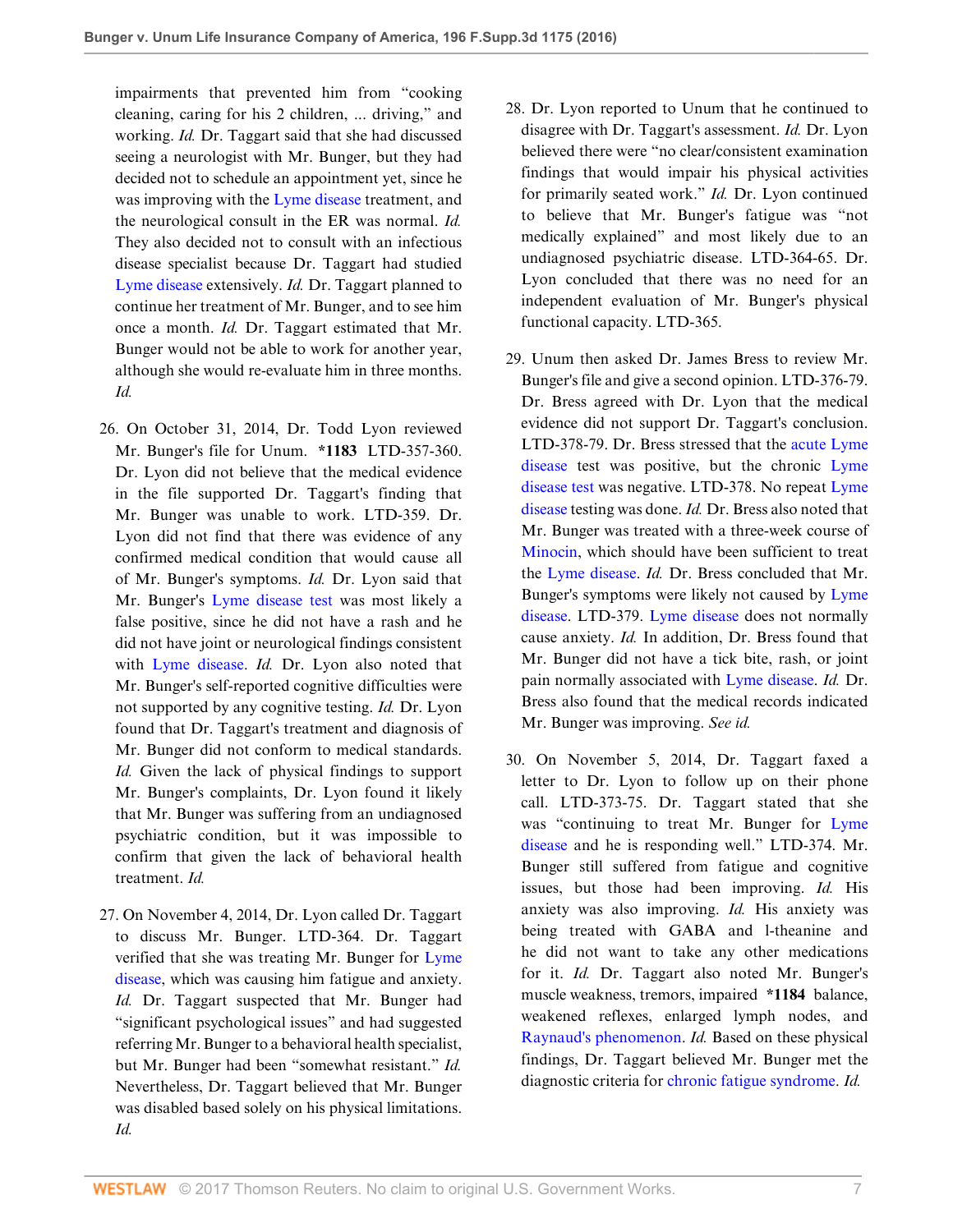impairments that prevented him from "cooking cleaning, caring for his 2 children, ... driving," and working. *Id.* Dr. Taggart said that she had discussed seeing a neurologist with Mr. Bunger, but they had decided not to schedule an appointment yet, since he was improving with the [Lyme disease](http://www.westlaw.com/Link/Document/FullText?entityType=disease&entityId=Ib21fe02a475411db9765f9243f53508a&originationContext=document&transitionType=DocumentItem&contextData=(sc.Default)&vr=3.0&rs=cblt1.0) treatment, and the neurological consult in the ER was normal. *Id.* They also decided not to consult with an infectious disease specialist because Dr. Taggart had studied [Lyme disease](http://www.westlaw.com/Link/Document/FullText?entityType=disease&entityId=Ib21fe02a475411db9765f9243f53508a&originationContext=document&transitionType=DocumentItem&contextData=(sc.Default)&vr=3.0&rs=cblt1.0) extensively. *Id.* Dr. Taggart planned to continue her treatment of Mr. Bunger, and to see him once a month. *Id.* Dr. Taggart estimated that Mr. Bunger would not be able to work for another year, although she would re-evaluate him in three months. *Id.*

- 26. On October 31, 2014, Dr. Todd Lyon reviewed Mr. Bunger's file for Unum. **\*1183** LTD-357-360. Dr. Lyon did not believe that the medical evidence in the file supported Dr. Taggart's finding that Mr. Bunger was unable to work. LTD-359. Dr. Lyon did not find that there was evidence of any confirmed medical condition that would cause all of Mr. Bunger's symptoms. *Id.* Dr. Lyon said that Mr. Bunger's [Lyme disease test](http://www.westlaw.com/Link/Document/FullText?entityType=mproc&entityId=Ib3c4de25475411db9765f9243f53508a&originationContext=document&transitionType=DocumentItem&contextData=(sc.Default)&vr=3.0&rs=cblt1.0) was most likely a false positive, since he did not have a rash and he did not have joint or neurological findings consistent with [Lyme disease.](http://www.westlaw.com/Link/Document/FullText?entityType=disease&entityId=Ib21fe02a475411db9765f9243f53508a&originationContext=document&transitionType=DocumentItem&contextData=(sc.Default)&vr=3.0&rs=cblt1.0) *Id.* Dr. Lyon also noted that Mr. Bunger's self-reported cognitive difficulties were not supported by any cognitive testing. *Id.* Dr. Lyon found that Dr. Taggart's treatment and diagnosis of Mr. Bunger did not conform to medical standards. *Id.* Given the lack of physical findings to support Mr. Bunger's complaints, Dr. Lyon found it likely that Mr. Bunger was suffering from an undiagnosed psychiatric condition, but it was impossible to confirm that given the lack of behavioral health treatment. *Id.*
- 27. On November 4, 2014, Dr. Lyon called Dr. Taggart to discuss Mr. Bunger. LTD-364. Dr. Taggart verified that she was treating Mr. Bunger for [Lyme](http://www.westlaw.com/Link/Document/FullText?entityType=disease&entityId=Ib21fe02a475411db9765f9243f53508a&originationContext=document&transitionType=DocumentItem&contextData=(sc.Default)&vr=3.0&rs=cblt1.0) [disease,](http://www.westlaw.com/Link/Document/FullText?entityType=disease&entityId=Ib21fe02a475411db9765f9243f53508a&originationContext=document&transitionType=DocumentItem&contextData=(sc.Default)&vr=3.0&rs=cblt1.0) which was causing him fatigue and anxiety. *Id.* Dr. Taggart suspected that Mr. Bunger had "significant psychological issues" and had suggested referring Mr. Bunger to a behavioral health specialist, but Mr. Bunger had been "somewhat resistant." *Id.* Nevertheless, Dr. Taggart believed that Mr. Bunger was disabled based solely on his physical limitations. *Id.*
- 28. Dr. Lyon reported to Unum that he continued to disagree with Dr. Taggart's assessment. *Id.* Dr. Lyon believed there were "no clear/consistent examination findings that would impair his physical activities for primarily seated work." *Id.* Dr. Lyon continued to believe that Mr. Bunger's fatigue was "not medically explained" and most likely due to an undiagnosed psychiatric disease. LTD-364-65. Dr. Lyon concluded that there was no need for an independent evaluation of Mr. Bunger's physical functional capacity. LTD-365.
- 29. Unum then asked Dr. James Bress to review Mr. Bunger's file and give a second opinion. LTD-376-79. Dr. Bress agreed with Dr. Lyon that the medical evidence did not support Dr. Taggart's conclusion. LTD-378-79. Dr. Bress stressed that the [acute Lyme](http://www.westlaw.com/Link/Document/FullText?entityType=disease&entityId=I11e5835bff5111dc84008c7818c06073&originationContext=document&transitionType=DocumentItem&contextData=(sc.Default)&vr=3.0&rs=cblt1.0) [disease](http://www.westlaw.com/Link/Document/FullText?entityType=disease&entityId=I11e5835bff5111dc84008c7818c06073&originationContext=document&transitionType=DocumentItem&contextData=(sc.Default)&vr=3.0&rs=cblt1.0) test was positive, but the chronic [Lyme](http://www.westlaw.com/Link/Document/FullText?entityType=mproc&entityId=Ib3c4de25475411db9765f9243f53508a&originationContext=document&transitionType=DocumentItem&contextData=(sc.Default)&vr=3.0&rs=cblt1.0) [disease test](http://www.westlaw.com/Link/Document/FullText?entityType=mproc&entityId=Ib3c4de25475411db9765f9243f53508a&originationContext=document&transitionType=DocumentItem&contextData=(sc.Default)&vr=3.0&rs=cblt1.0) was negative. LTD-378. No repeat [Lyme](http://www.westlaw.com/Link/Document/FullText?entityType=disease&entityId=Ib21fe02a475411db9765f9243f53508a&originationContext=document&transitionType=DocumentItem&contextData=(sc.Default)&vr=3.0&rs=cblt1.0) [disease](http://www.westlaw.com/Link/Document/FullText?entityType=disease&entityId=Ib21fe02a475411db9765f9243f53508a&originationContext=document&transitionType=DocumentItem&contextData=(sc.Default)&vr=3.0&rs=cblt1.0) testing was done. *Id.* Dr. Bress also noted that Mr. Bunger was treated with a three-week course of [Minocin](http://www.westlaw.com/Link/Document/FullText?entityType=bdrug&entityId=I38cc07df475111db9765f9243f53508a&originationContext=document&transitionType=DocumentItem&contextData=(sc.Default)&vr=3.0&rs=cblt1.0), which should have been sufficient to treat the [Lyme disease.](http://www.westlaw.com/Link/Document/FullText?entityType=disease&entityId=Ib21fe02a475411db9765f9243f53508a&originationContext=document&transitionType=DocumentItem&contextData=(sc.Default)&vr=3.0&rs=cblt1.0) *Id.* Dr. Bress concluded that Mr. Bunger's symptoms were likely not caused by [Lyme](http://www.westlaw.com/Link/Document/FullText?entityType=disease&entityId=Ib21fe02a475411db9765f9243f53508a&originationContext=document&transitionType=DocumentItem&contextData=(sc.Default)&vr=3.0&rs=cblt1.0) [disease.](http://www.westlaw.com/Link/Document/FullText?entityType=disease&entityId=Ib21fe02a475411db9765f9243f53508a&originationContext=document&transitionType=DocumentItem&contextData=(sc.Default)&vr=3.0&rs=cblt1.0) LTD-379. [Lyme disease](http://www.westlaw.com/Link/Document/FullText?entityType=disease&entityId=Ib21fe02a475411db9765f9243f53508a&originationContext=document&transitionType=DocumentItem&contextData=(sc.Default)&vr=3.0&rs=cblt1.0) does not normally cause anxiety. *Id.* In addition, Dr. Bress found that Mr. Bunger did not have a tick bite, rash, or joint pain normally associated with [Lyme disease](http://www.westlaw.com/Link/Document/FullText?entityType=disease&entityId=Ib21fe02a475411db9765f9243f53508a&originationContext=document&transitionType=DocumentItem&contextData=(sc.Default)&vr=3.0&rs=cblt1.0). *Id.* Dr. Bress also found that the medical records indicated Mr. Bunger was improving. *See id.*
- 30. On November 5, 2014, Dr. Taggart faxed a letter to Dr. Lyon to follow up on their phone call. LTD-373-75. Dr. Taggart stated that she was "continuing to treat Mr. Bunger for [Lyme](http://www.westlaw.com/Link/Document/FullText?entityType=disease&entityId=Ib21fe02a475411db9765f9243f53508a&originationContext=document&transitionType=DocumentItem&contextData=(sc.Default)&vr=3.0&rs=cblt1.0) [disease](http://www.westlaw.com/Link/Document/FullText?entityType=disease&entityId=Ib21fe02a475411db9765f9243f53508a&originationContext=document&transitionType=DocumentItem&contextData=(sc.Default)&vr=3.0&rs=cblt1.0) and he is responding well." LTD-374. Mr. Bunger still suffered from fatigue and cognitive issues, but those had been improving. *Id.* His anxiety was also improving. *Id.* His anxiety was being treated with GABA and l-theanine and he did not want to take any other medications for it. *Id.* Dr. Taggart also noted Mr. Bunger's muscle weakness, tremors, impaired **\*1184** balance, weakened reflexes, enlarged lymph nodes, and [Raynaud's phenomenon](http://www.westlaw.com/Link/Document/FullText?entityType=disease&entityId=Icb53e798475411db9765f9243f53508a&originationContext=document&transitionType=DocumentItem&contextData=(sc.Default)&vr=3.0&rs=cblt1.0). *Id.* Based on these physical findings, Dr. Taggart believed Mr. Bunger met the diagnostic criteria for [chronic fatigue syndrome.](http://www.westlaw.com/Link/Document/FullText?entityType=disease&entityId=Ic755df1d475411db9765f9243f53508a&originationContext=document&transitionType=DocumentItem&contextData=(sc.Default)&vr=3.0&rs=cblt1.0) *Id.*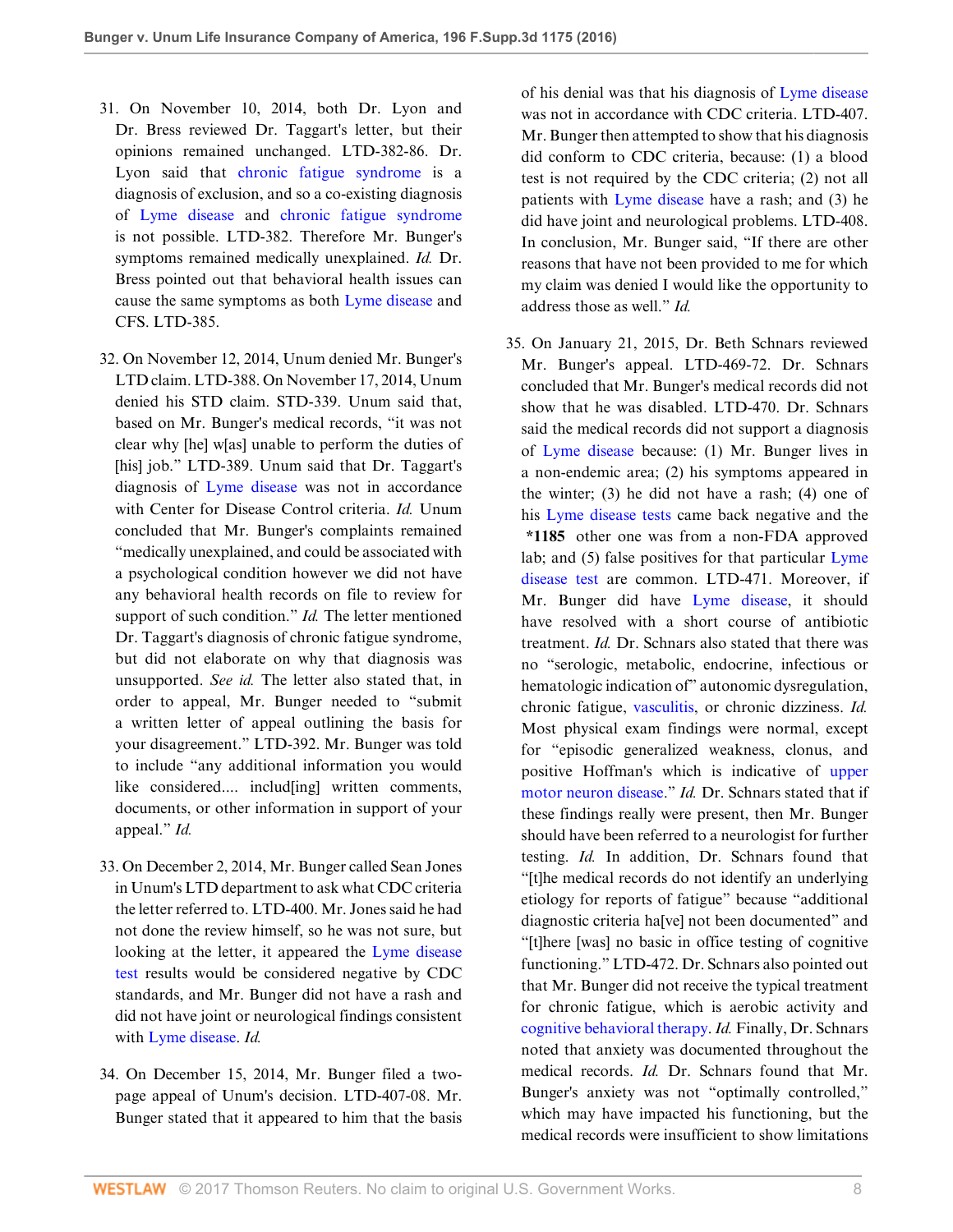- 31. On November 10, 2014, both Dr. Lyon and Dr. Bress reviewed Dr. Taggart's letter, but their opinions remained unchanged. LTD-382-86. Dr. Lyon said that [chronic fatigue syndrome](http://www.westlaw.com/Link/Document/FullText?entityType=disease&entityId=Ic755df1d475411db9765f9243f53508a&originationContext=document&transitionType=DocumentItem&contextData=(sc.Default)&vr=3.0&rs=cblt1.0) is a diagnosis of exclusion, and so a co-existing diagnosis of [Lyme disease](http://www.westlaw.com/Link/Document/FullText?entityType=disease&entityId=Ib21fe02a475411db9765f9243f53508a&originationContext=document&transitionType=DocumentItem&contextData=(sc.Default)&vr=3.0&rs=cblt1.0) and [chronic fatigue syndrome](http://www.westlaw.com/Link/Document/FullText?entityType=disease&entityId=Ic755df1d475411db9765f9243f53508a&originationContext=document&transitionType=DocumentItem&contextData=(sc.Default)&vr=3.0&rs=cblt1.0) is not possible. LTD-382. Therefore Mr. Bunger's symptoms remained medically unexplained. *Id.* Dr. Bress pointed out that behavioral health issues can cause the same symptoms as both [Lyme disease](http://www.westlaw.com/Link/Document/FullText?entityType=disease&entityId=Ib21fe02a475411db9765f9243f53508a&originationContext=document&transitionType=DocumentItem&contextData=(sc.Default)&vr=3.0&rs=cblt1.0) and CFS. LTD-385.
- 32. On November 12, 2014, Unum denied Mr. Bunger's LTD claim. LTD-388. On November 17, 2014, Unum denied his STD claim. STD-339. Unum said that, based on Mr. Bunger's medical records, "it was not clear why [he] w[as] unable to perform the duties of [his] job." LTD-389. Unum said that Dr. Taggart's diagnosis of [Lyme disease](http://www.westlaw.com/Link/Document/FullText?entityType=disease&entityId=Ib21fe02a475411db9765f9243f53508a&originationContext=document&transitionType=DocumentItem&contextData=(sc.Default)&vr=3.0&rs=cblt1.0) was not in accordance with Center for Disease Control criteria. *Id.* Unum concluded that Mr. Bunger's complaints remained "medically unexplained, and could be associated with a psychological condition however we did not have any behavioral health records on file to review for support of such condition." *Id.* The letter mentioned Dr. Taggart's diagnosis of chronic fatigue syndrome, but did not elaborate on why that diagnosis was unsupported. *See id.* The letter also stated that, in order to appeal, Mr. Bunger needed to "submit a written letter of appeal outlining the basis for your disagreement." LTD-392. Mr. Bunger was told to include "any additional information you would like considered.... includ[ing] written comments, documents, or other information in support of your appeal." *Id.*
- 33. On December 2, 2014, Mr. Bunger called Sean Jones in Unum's LTD department to ask what CDC criteria the letter referred to. LTD-400. Mr. Jones said he had not done the review himself, so he was not sure, but looking at the letter, it appeared the [Lyme disease](http://www.westlaw.com/Link/Document/FullText?entityType=mproc&entityId=Ib3c4de25475411db9765f9243f53508a&originationContext=document&transitionType=DocumentItem&contextData=(sc.Default)&vr=3.0&rs=cblt1.0) [test](http://www.westlaw.com/Link/Document/FullText?entityType=mproc&entityId=Ib3c4de25475411db9765f9243f53508a&originationContext=document&transitionType=DocumentItem&contextData=(sc.Default)&vr=3.0&rs=cblt1.0) results would be considered negative by CDC standards, and Mr. Bunger did not have a rash and did not have joint or neurological findings consistent with [Lyme disease.](http://www.westlaw.com/Link/Document/FullText?entityType=disease&entityId=Ib21fe02a475411db9765f9243f53508a&originationContext=document&transitionType=DocumentItem&contextData=(sc.Default)&vr=3.0&rs=cblt1.0) *Id.*
- 34. On December 15, 2014, Mr. Bunger filed a twopage appeal of Unum's decision. LTD-407-08. Mr. Bunger stated that it appeared to him that the basis

of his denial was that his diagnosis of [Lyme disease](http://www.westlaw.com/Link/Document/FullText?entityType=disease&entityId=Ib21fe02a475411db9765f9243f53508a&originationContext=document&transitionType=DocumentItem&contextData=(sc.Default)&vr=3.0&rs=cblt1.0) was not in accordance with CDC criteria. LTD-407. Mr. Bunger then attempted to show that his diagnosis did conform to CDC criteria, because: (1) a blood test is not required by the CDC criteria; (2) not all patients with [Lyme disease](http://www.westlaw.com/Link/Document/FullText?entityType=disease&entityId=Ib21fe02a475411db9765f9243f53508a&originationContext=document&transitionType=DocumentItem&contextData=(sc.Default)&vr=3.0&rs=cblt1.0) have a rash; and (3) he did have joint and neurological problems. LTD-408. In conclusion, Mr. Bunger said, "If there are other reasons that have not been provided to me for which my claim was denied I would like the opportunity to address those as well." *Id.*

35. On January 21, 2015, Dr. Beth Schnars reviewed Mr. Bunger's appeal. LTD-469-72. Dr. Schnars concluded that Mr. Bunger's medical records did not show that he was disabled. LTD-470. Dr. Schnars said the medical records did not support a diagnosis of [Lyme disease](http://www.westlaw.com/Link/Document/FullText?entityType=disease&entityId=Ib21fe02a475411db9765f9243f53508a&originationContext=document&transitionType=DocumentItem&contextData=(sc.Default)&vr=3.0&rs=cblt1.0) because: (1) Mr. Bunger lives in a non-endemic area; (2) his symptoms appeared in the winter; (3) he did not have a rash; (4) one of his [Lyme disease tests](http://www.westlaw.com/Link/Document/FullText?entityType=mproc&entityId=Ib3c4de25475411db9765f9243f53508a&originationContext=document&transitionType=DocumentItem&contextData=(sc.Default)&vr=3.0&rs=cblt1.0) came back negative and the **\*1185** other one was from a non-FDA approved lab; and (5) false positives for that particular [Lyme](http://www.westlaw.com/Link/Document/FullText?entityType=mproc&entityId=Ib3c4de25475411db9765f9243f53508a&originationContext=document&transitionType=DocumentItem&contextData=(sc.Default)&vr=3.0&rs=cblt1.0) [disease test](http://www.westlaw.com/Link/Document/FullText?entityType=mproc&entityId=Ib3c4de25475411db9765f9243f53508a&originationContext=document&transitionType=DocumentItem&contextData=(sc.Default)&vr=3.0&rs=cblt1.0) are common. LTD-471. Moreover, if Mr. Bunger did have [Lyme disease](http://www.westlaw.com/Link/Document/FullText?entityType=disease&entityId=Ib21fe02a475411db9765f9243f53508a&originationContext=document&transitionType=DocumentItem&contextData=(sc.Default)&vr=3.0&rs=cblt1.0), it should have resolved with a short course of antibiotic treatment. *Id.* Dr. Schnars also stated that there was no "serologic, metabolic, endocrine, infectious or hematologic indication of" autonomic dysregulation, chronic fatigue, [vasculitis](http://www.westlaw.com/Link/Document/FullText?entityType=disease&entityId=Ib7c7c8e9475411db9765f9243f53508a&originationContext=document&transitionType=DocumentItem&contextData=(sc.Default)&vr=3.0&rs=cblt1.0), or chronic dizziness. *Id.* Most physical exam findings were normal, except for "episodic generalized weakness, clonus, and positive Hoffman's which is indicative of [upper](http://www.westlaw.com/Link/Document/FullText?entityType=disease&entityId=Ic0f6db83475411db9765f9243f53508a&originationContext=document&transitionType=DocumentItem&contextData=(sc.Default)&vr=3.0&rs=cblt1.0) [motor neuron disease.](http://www.westlaw.com/Link/Document/FullText?entityType=disease&entityId=Ic0f6db83475411db9765f9243f53508a&originationContext=document&transitionType=DocumentItem&contextData=(sc.Default)&vr=3.0&rs=cblt1.0)" *Id.* Dr. Schnars stated that if these findings really were present, then Mr. Bunger should have been referred to a neurologist for further testing. *Id.* In addition, Dr. Schnars found that "[t]he medical records do not identify an underlying etiology for reports of fatigue" because "additional diagnostic criteria ha[ve] not been documented" and "[t]here [was] no basic in office testing of cognitive functioning." LTD-472. Dr. Schnars also pointed out that Mr. Bunger did not receive the typical treatment for chronic fatigue, which is aerobic activity and [cognitive behavioral therapy.](http://www.westlaw.com/Link/Document/FullText?entityType=mproc&entityId=Iafb018ea475411db9765f9243f53508a&originationContext=document&transitionType=DocumentItem&contextData=(sc.Default)&vr=3.0&rs=cblt1.0) *Id.* Finally, Dr. Schnars noted that anxiety was documented throughout the medical records. *Id.* Dr. Schnars found that Mr. Bunger's anxiety was not "optimally controlled," which may have impacted his functioning, but the medical records were insufficient to show limitations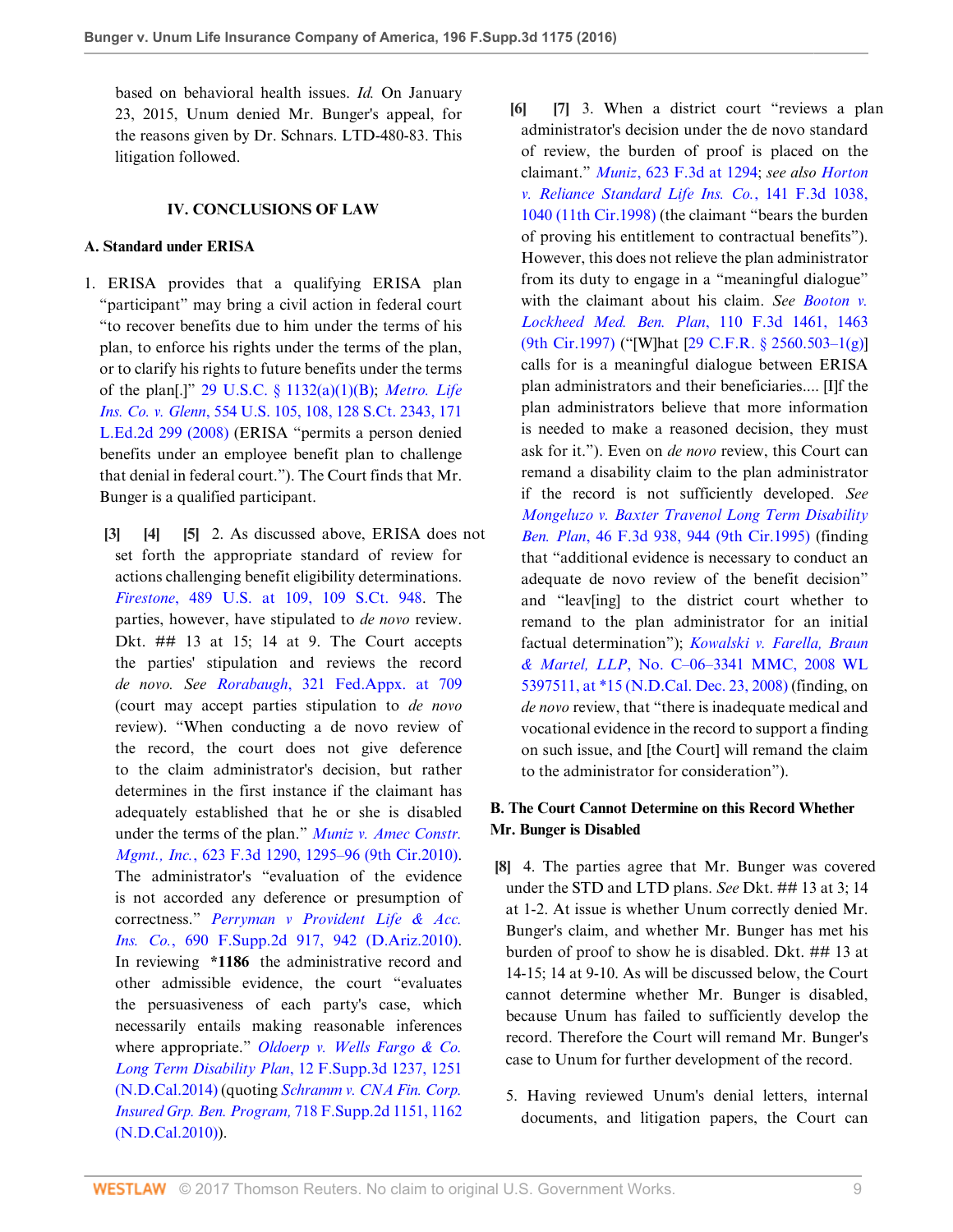based on behavioral health issues. *Id.* On January 23, 2015, Unum denied Mr. Bunger's appeal, for the reasons given by Dr. Schnars. LTD-480-83. This litigation followed.

# **IV. CONCLUSIONS OF LAW**

# **A. Standard under ERISA**

- <span id="page-8-2"></span><span id="page-8-1"></span><span id="page-8-0"></span>1. ERISA provides that a qualifying ERISA plan "participant" may bring a civil action in federal court "to recover benefits due to him under the terms of his plan, to enforce his rights under the terms of the plan, or to clarify his rights to future benefits under the terms of the plan[.]" [29 U.S.C. § 1132\(a\)\(1\)\(B\)](http://www.westlaw.com/Link/Document/FullText?findType=L&pubNum=1000546&cite=29USCAS1132&originatingDoc=Ia051ce304ee211e68e80d394640dd07e&refType=SP&originationContext=document&vr=3.0&rs=cblt1.0&transitionType=DocumentItem&contextData=(sc.UserEnteredCitation)#co_pp_50660000823d1); *[Metro. Life](http://www.westlaw.com/Link/Document/FullText?findType=Y&serNum=2016336257&pubNum=0000708&originatingDoc=Ia051ce304ee211e68e80d394640dd07e&refType=RP&originationContext=document&vr=3.0&rs=cblt1.0&transitionType=DocumentItem&contextData=(sc.UserEnteredCitation)) Ins. Co. v. Glenn*[, 554 U.S. 105, 108, 128 S.Ct. 2343, 171](http://www.westlaw.com/Link/Document/FullText?findType=Y&serNum=2016336257&pubNum=0000708&originatingDoc=Ia051ce304ee211e68e80d394640dd07e&refType=RP&originationContext=document&vr=3.0&rs=cblt1.0&transitionType=DocumentItem&contextData=(sc.UserEnteredCitation)) [L.Ed.2d 299 \(2008\)](http://www.westlaw.com/Link/Document/FullText?findType=Y&serNum=2016336257&pubNum=0000708&originatingDoc=Ia051ce304ee211e68e80d394640dd07e&refType=RP&originationContext=document&vr=3.0&rs=cblt1.0&transitionType=DocumentItem&contextData=(sc.UserEnteredCitation)) (ERISA "permits a person denied benefits under an employee benefit plan to challenge that denial in federal court."). The Court finds that Mr. Bunger is a qualified participant.
	- **[\[3](#page-0-2)] [\[4](#page-0-3)] [\[5](#page-0-4)]** 2. As discussed above, ERISA does not set forth the appropriate standard of review for actions challenging benefit eligibility determinations. *Firestone*[, 489 U.S. at 109, 109 S.Ct. 948](http://www.westlaw.com/Link/Document/FullText?findType=Y&serNum=1989026578&pubNum=0000708&originatingDoc=Ia051ce304ee211e68e80d394640dd07e&refType=RP&originationContext=document&vr=3.0&rs=cblt1.0&transitionType=DocumentItem&contextData=(sc.UserEnteredCitation)). The parties, however, have stipulated to *de novo* review. Dkt. ## 13 at 15; 14 at 9. The Court accepts the parties' stipulation and reviews the record *de novo. See Rorabaugh*[, 321 Fed.Appx. at 709](http://www.westlaw.com/Link/Document/FullText?findType=Y&serNum=2018588601&pubNum=0006538&originatingDoc=Ia051ce304ee211e68e80d394640dd07e&refType=RP&fi=co_pp_sp_6538_709&originationContext=document&vr=3.0&rs=cblt1.0&transitionType=DocumentItem&contextData=(sc.UserEnteredCitation)#co_pp_sp_6538_709) (court may accept parties stipulation to *de novo* review). "When conducting a de novo review of the record, the court does not give deference to the claim administrator's decision, but rather determines in the first instance if the claimant has adequately established that he or she is disabled under the terms of the plan." *[Muniz v. Amec Constr.](http://www.westlaw.com/Link/Document/FullText?findType=Y&serNum=2023501190&pubNum=0000506&originatingDoc=Ia051ce304ee211e68e80d394640dd07e&refType=RP&fi=co_pp_sp_506_1295&originationContext=document&vr=3.0&rs=cblt1.0&transitionType=DocumentItem&contextData=(sc.UserEnteredCitation)#co_pp_sp_506_1295) Mgmt., Inc.*[, 623 F.3d 1290, 1295–96 \(9th Cir.2010\)](http://www.westlaw.com/Link/Document/FullText?findType=Y&serNum=2023501190&pubNum=0000506&originatingDoc=Ia051ce304ee211e68e80d394640dd07e&refType=RP&fi=co_pp_sp_506_1295&originationContext=document&vr=3.0&rs=cblt1.0&transitionType=DocumentItem&contextData=(sc.UserEnteredCitation)#co_pp_sp_506_1295). The administrator's "evaluation of the evidence is not accorded any deference or presumption of correctness." *[Perryman v Provident Life & Acc.](http://www.westlaw.com/Link/Document/FullText?findType=Y&serNum=2021391747&pubNum=0004637&originatingDoc=Ia051ce304ee211e68e80d394640dd07e&refType=RP&fi=co_pp_sp_4637_942&originationContext=document&vr=3.0&rs=cblt1.0&transitionType=DocumentItem&contextData=(sc.UserEnteredCitation)#co_pp_sp_4637_942) Ins. Co.*[, 690 F.Supp.2d 917, 942 \(D.Ariz.2010\)](http://www.westlaw.com/Link/Document/FullText?findType=Y&serNum=2021391747&pubNum=0004637&originatingDoc=Ia051ce304ee211e68e80d394640dd07e&refType=RP&fi=co_pp_sp_4637_942&originationContext=document&vr=3.0&rs=cblt1.0&transitionType=DocumentItem&contextData=(sc.UserEnteredCitation)#co_pp_sp_4637_942). In reviewing **\*1186** the administrative record and other admissible evidence, the court "evaluates the persuasiveness of each party's case, which necessarily entails making reasonable inferences where appropriate." *[Oldoerp v. Wells Fargo & Co.](http://www.westlaw.com/Link/Document/FullText?findType=Y&serNum=2032613026&pubNum=0007903&originatingDoc=Ia051ce304ee211e68e80d394640dd07e&refType=RP&fi=co_pp_sp_7903_1251&originationContext=document&vr=3.0&rs=cblt1.0&transitionType=DocumentItem&contextData=(sc.UserEnteredCitation)#co_pp_sp_7903_1251) [Long Term Disability Plan](http://www.westlaw.com/Link/Document/FullText?findType=Y&serNum=2032613026&pubNum=0007903&originatingDoc=Ia051ce304ee211e68e80d394640dd07e&refType=RP&fi=co_pp_sp_7903_1251&originationContext=document&vr=3.0&rs=cblt1.0&transitionType=DocumentItem&contextData=(sc.UserEnteredCitation)#co_pp_sp_7903_1251)*, 12 F.Supp.3d 1237, 1251 [\(N.D.Cal.2014\)](http://www.westlaw.com/Link/Document/FullText?findType=Y&serNum=2032613026&pubNum=0007903&originatingDoc=Ia051ce304ee211e68e80d394640dd07e&refType=RP&fi=co_pp_sp_7903_1251&originationContext=document&vr=3.0&rs=cblt1.0&transitionType=DocumentItem&contextData=(sc.UserEnteredCitation)#co_pp_sp_7903_1251) (quoting *[Schramm v. CNA Fin. Corp.](http://www.westlaw.com/Link/Document/FullText?findType=Y&serNum=2022333994&pubNum=0004637&originatingDoc=Ia051ce304ee211e68e80d394640dd07e&refType=RP&fi=co_pp_sp_4637_1162&originationContext=document&vr=3.0&rs=cblt1.0&transitionType=DocumentItem&contextData=(sc.UserEnteredCitation)#co_pp_sp_4637_1162) [Insured Grp. Ben. Program,](http://www.westlaw.com/Link/Document/FullText?findType=Y&serNum=2022333994&pubNum=0004637&originatingDoc=Ia051ce304ee211e68e80d394640dd07e&refType=RP&fi=co_pp_sp_4637_1162&originationContext=document&vr=3.0&rs=cblt1.0&transitionType=DocumentItem&contextData=(sc.UserEnteredCitation)#co_pp_sp_4637_1162)* 718 F.Supp.2d 1151, 1162 [\(N.D.Cal.2010\)](http://www.westlaw.com/Link/Document/FullText?findType=Y&serNum=2022333994&pubNum=0004637&originatingDoc=Ia051ce304ee211e68e80d394640dd07e&refType=RP&fi=co_pp_sp_4637_1162&originationContext=document&vr=3.0&rs=cblt1.0&transitionType=DocumentItem&contextData=(sc.UserEnteredCitation)#co_pp_sp_4637_1162)).
- <span id="page-8-4"></span><span id="page-8-3"></span>**[\[6](#page-1-1)] [\[7](#page-1-2)]** 3. When a district court "reviews a plan administrator's decision under the de novo standard of review, the burden of proof is placed on the claimant." *Muniz*[, 623 F.3d at 1294](http://www.westlaw.com/Link/Document/FullText?findType=Y&serNum=2023501190&pubNum=0000506&originatingDoc=Ia051ce304ee211e68e80d394640dd07e&refType=RP&fi=co_pp_sp_506_1294&originationContext=document&vr=3.0&rs=cblt1.0&transitionType=DocumentItem&contextData=(sc.UserEnteredCitation)#co_pp_sp_506_1294); *see also [Horton](http://www.westlaw.com/Link/Document/FullText?findType=Y&serNum=1998111408&pubNum=0000506&originatingDoc=Ia051ce304ee211e68e80d394640dd07e&refType=RP&fi=co_pp_sp_506_1040&originationContext=document&vr=3.0&rs=cblt1.0&transitionType=DocumentItem&contextData=(sc.UserEnteredCitation)#co_pp_sp_506_1040) [v. Reliance Standard Life Ins. Co.](http://www.westlaw.com/Link/Document/FullText?findType=Y&serNum=1998111408&pubNum=0000506&originatingDoc=Ia051ce304ee211e68e80d394640dd07e&refType=RP&fi=co_pp_sp_506_1040&originationContext=document&vr=3.0&rs=cblt1.0&transitionType=DocumentItem&contextData=(sc.UserEnteredCitation)#co_pp_sp_506_1040)*, 141 F.3d 1038, [1040 \(11th Cir.1998\)](http://www.westlaw.com/Link/Document/FullText?findType=Y&serNum=1998111408&pubNum=0000506&originatingDoc=Ia051ce304ee211e68e80d394640dd07e&refType=RP&fi=co_pp_sp_506_1040&originationContext=document&vr=3.0&rs=cblt1.0&transitionType=DocumentItem&contextData=(sc.UserEnteredCitation)#co_pp_sp_506_1040) (the claimant "bears the burden of proving his entitlement to contractual benefits"). However, this does not relieve the plan administrator from its duty to engage in a "meaningful dialogue" with the claimant about his claim. *See [Booton v.](http://www.westlaw.com/Link/Document/FullText?findType=Y&serNum=1997089082&pubNum=0000506&originatingDoc=Ia051ce304ee211e68e80d394640dd07e&refType=RP&fi=co_pp_sp_506_1463&originationContext=document&vr=3.0&rs=cblt1.0&transitionType=DocumentItem&contextData=(sc.UserEnteredCitation)#co_pp_sp_506_1463) [Lockheed Med. Ben. Plan](http://www.westlaw.com/Link/Document/FullText?findType=Y&serNum=1997089082&pubNum=0000506&originatingDoc=Ia051ce304ee211e68e80d394640dd07e&refType=RP&fi=co_pp_sp_506_1463&originationContext=document&vr=3.0&rs=cblt1.0&transitionType=DocumentItem&contextData=(sc.UserEnteredCitation)#co_pp_sp_506_1463)*, 110 F.3d 1461, 1463 [\(9th Cir.1997\)](http://www.westlaw.com/Link/Document/FullText?findType=Y&serNum=1997089082&pubNum=0000506&originatingDoc=Ia051ce304ee211e68e80d394640dd07e&refType=RP&fi=co_pp_sp_506_1463&originationContext=document&vr=3.0&rs=cblt1.0&transitionType=DocumentItem&contextData=(sc.UserEnteredCitation)#co_pp_sp_506_1463) ("[W]hat [\[29 C.F.R. § 2560.503–1\(g\)](http://www.westlaw.com/Link/Document/FullText?findType=L&pubNum=1000547&cite=29CFRS2560.503-1&originatingDoc=Ia051ce304ee211e68e80d394640dd07e&refType=LQ&originationContext=document&vr=3.0&rs=cblt1.0&transitionType=DocumentItem&contextData=(sc.UserEnteredCitation))] calls for is a meaningful dialogue between ERISA plan administrators and their beneficiaries.... [I]f the plan administrators believe that more information is needed to make a reasoned decision, they must ask for it."). Even on *de novo* review, this Court can remand a disability claim to the plan administrator if the record is not sufficiently developed. *See [Mongeluzo v. Baxter Travenol Long Term Disability](http://www.westlaw.com/Link/Document/FullText?findType=Y&serNum=1995038884&pubNum=0000506&originatingDoc=Ia051ce304ee211e68e80d394640dd07e&refType=RP&fi=co_pp_sp_506_944&originationContext=document&vr=3.0&rs=cblt1.0&transitionType=DocumentItem&contextData=(sc.UserEnteredCitation)#co_pp_sp_506_944) Ben. Plan*[, 46 F.3d 938, 944 \(9th Cir.1995\)](http://www.westlaw.com/Link/Document/FullText?findType=Y&serNum=1995038884&pubNum=0000506&originatingDoc=Ia051ce304ee211e68e80d394640dd07e&refType=RP&fi=co_pp_sp_506_944&originationContext=document&vr=3.0&rs=cblt1.0&transitionType=DocumentItem&contextData=(sc.UserEnteredCitation)#co_pp_sp_506_944) (finding that "additional evidence is necessary to conduct an adequate de novo review of the benefit decision" and "leav[ing] to the district court whether to remand to the plan administrator for an initial factual determination"); *[Kowalski v. Farella, Braun](http://www.westlaw.com/Link/Document/FullText?findType=Y&serNum=2017776647&pubNum=0000999&originatingDoc=Ia051ce304ee211e68e80d394640dd07e&refType=RP&originationContext=document&vr=3.0&rs=cblt1.0&transitionType=DocumentItem&contextData=(sc.UserEnteredCitation)) & Martel, LLP*[, No. C–06–3341 MMC, 2008 WL](http://www.westlaw.com/Link/Document/FullText?findType=Y&serNum=2017776647&pubNum=0000999&originatingDoc=Ia051ce304ee211e68e80d394640dd07e&refType=RP&originationContext=document&vr=3.0&rs=cblt1.0&transitionType=DocumentItem&contextData=(sc.UserEnteredCitation)) [5397511, at \\*15 \(N.D.Cal. Dec. 23, 2008\)](http://www.westlaw.com/Link/Document/FullText?findType=Y&serNum=2017776647&pubNum=0000999&originatingDoc=Ia051ce304ee211e68e80d394640dd07e&refType=RP&originationContext=document&vr=3.0&rs=cblt1.0&transitionType=DocumentItem&contextData=(sc.UserEnteredCitation)) (finding, on *de novo* review, that "there is inadequate medical and vocational evidence in the record to support a finding on such issue, and [the Court] will remand the claim to the administrator for consideration").

# **B. The Court Cannot Determine on this Record Whether Mr. Bunger is Disabled**

- <span id="page-8-5"></span>**[\[8](#page-1-0)]** 4. The parties agree that Mr. Bunger was covered under the STD and LTD plans. *See* Dkt. ## 13 at 3; 14 at 1-2. At issue is whether Unum correctly denied Mr. Bunger's claim, and whether Mr. Bunger has met his burden of proof to show he is disabled. Dkt. ## 13 at 14-15; 14 at 9-10. As will be discussed below, the Court cannot determine whether Mr. Bunger is disabled, because Unum has failed to sufficiently develop the record. Therefore the Court will remand Mr. Bunger's case to Unum for further development of the record.
	- 5. Having reviewed Unum's denial letters, internal documents, and litigation papers, the Court can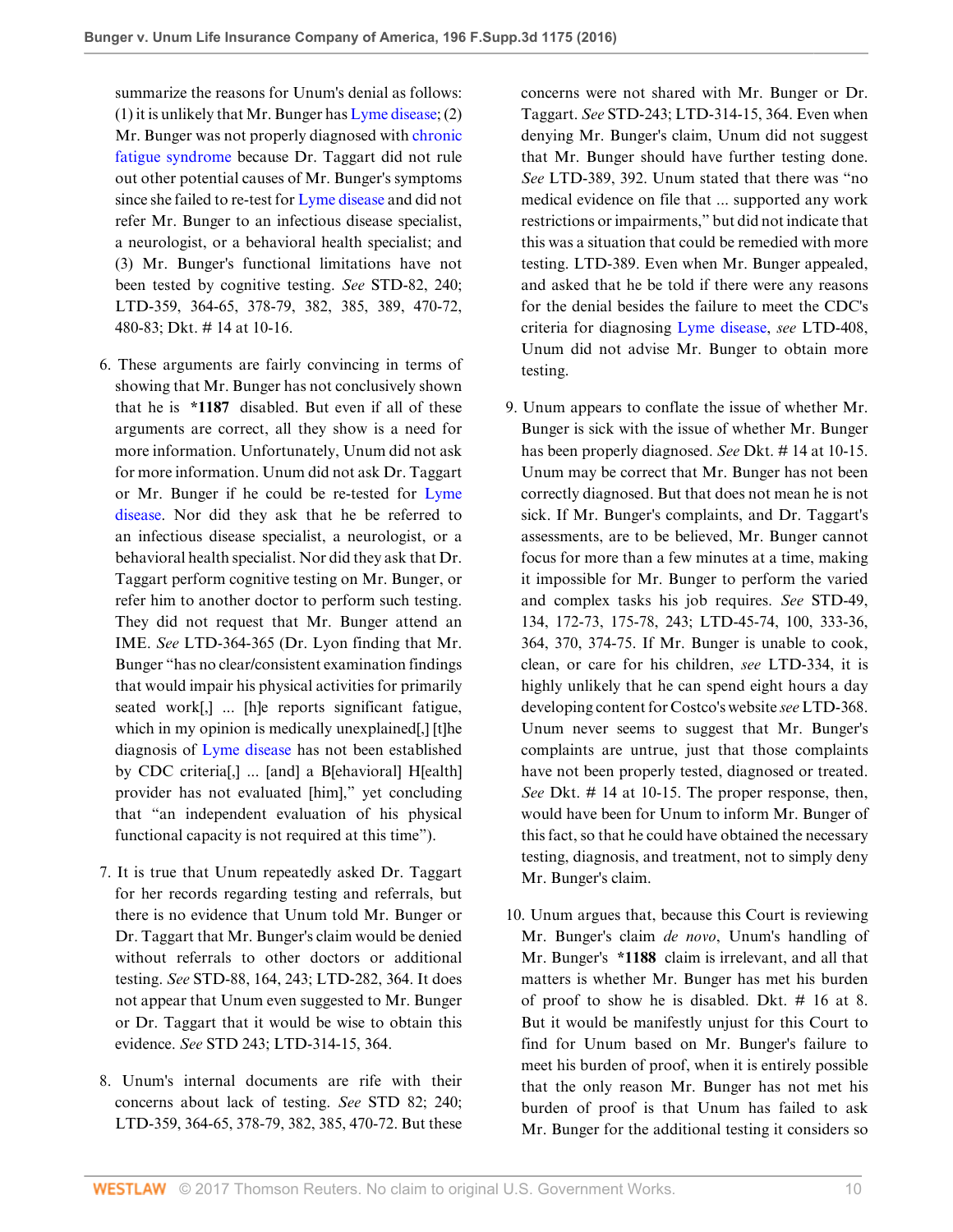summarize the reasons for Unum's denial as follows: (1) it is unlikely that Mr. Bunger has [Lyme disease;](http://www.westlaw.com/Link/Document/FullText?entityType=disease&entityId=Ib21fe02a475411db9765f9243f53508a&originationContext=document&transitionType=DocumentItem&contextData=(sc.Default)&vr=3.0&rs=cblt1.0) (2) Mr. Bunger was not properly diagnosed with [chronic](http://www.westlaw.com/Link/Document/FullText?entityType=disease&entityId=Ic755df1d475411db9765f9243f53508a&originationContext=document&transitionType=DocumentItem&contextData=(sc.Default)&vr=3.0&rs=cblt1.0) [fatigue syndrome](http://www.westlaw.com/Link/Document/FullText?entityType=disease&entityId=Ic755df1d475411db9765f9243f53508a&originationContext=document&transitionType=DocumentItem&contextData=(sc.Default)&vr=3.0&rs=cblt1.0) because Dr. Taggart did not rule out other potential causes of Mr. Bunger's symptoms since she failed to re-test for [Lyme disease](http://www.westlaw.com/Link/Document/FullText?entityType=disease&entityId=Ib21fe02a475411db9765f9243f53508a&originationContext=document&transitionType=DocumentItem&contextData=(sc.Default)&vr=3.0&rs=cblt1.0) and did not refer Mr. Bunger to an infectious disease specialist, a neurologist, or a behavioral health specialist; and (3) Mr. Bunger's functional limitations have not been tested by cognitive testing. *See* STD-82, 240; LTD-359, 364-65, 378-79, 382, 385, 389, 470-72, 480-83; Dkt. # 14 at 10-16.

- 6. These arguments are fairly convincing in terms of showing that Mr. Bunger has not conclusively shown that he is **\*1187** disabled. But even if all of these arguments are correct, all they show is a need for more information. Unfortunately, Unum did not ask for more information. Unum did not ask Dr. Taggart or Mr. Bunger if he could be re-tested for [Lyme](http://www.westlaw.com/Link/Document/FullText?entityType=disease&entityId=Ib21fe02a475411db9765f9243f53508a&originationContext=document&transitionType=DocumentItem&contextData=(sc.Default)&vr=3.0&rs=cblt1.0) [disease.](http://www.westlaw.com/Link/Document/FullText?entityType=disease&entityId=Ib21fe02a475411db9765f9243f53508a&originationContext=document&transitionType=DocumentItem&contextData=(sc.Default)&vr=3.0&rs=cblt1.0) Nor did they ask that he be referred to an infectious disease specialist, a neurologist, or a behavioral health specialist. Nor did they ask that Dr. Taggart perform cognitive testing on Mr. Bunger, or refer him to another doctor to perform such testing. They did not request that Mr. Bunger attend an IME. *See* LTD-364-365 (Dr. Lyon finding that Mr. Bunger "has no clear/consistent examination findings that would impair his physical activities for primarily seated work[,] ... [h]e reports significant fatigue, which in my opinion is medically unexplained. diagnosis of [Lyme disease](http://www.westlaw.com/Link/Document/FullText?entityType=disease&entityId=Ib21fe02a475411db9765f9243f53508a&originationContext=document&transitionType=DocumentItem&contextData=(sc.Default)&vr=3.0&rs=cblt1.0) has not been established by CDC criteria[,] ... [and] a B[ehavioral] H[ealth] provider has not evaluated [him]," yet concluding that "an independent evaluation of his physical functional capacity is not required at this time").
- 7. It is true that Unum repeatedly asked Dr. Taggart for her records regarding testing and referrals, but there is no evidence that Unum told Mr. Bunger or Dr. Taggart that Mr. Bunger's claim would be denied without referrals to other doctors or additional testing. *See* STD-88, 164, 243; LTD-282, 364. It does not appear that Unum even suggested to Mr. Bunger or Dr. Taggart that it would be wise to obtain this evidence. *See* STD 243; LTD-314-15, 364.
- 8. Unum's internal documents are rife with their concerns about lack of testing. *See* STD 82; 240; LTD-359, 364-65, 378-79, 382, 385, 470-72. But these

concerns were not shared with Mr. Bunger or Dr. Taggart. *See* STD-243; LTD-314-15, 364. Even when denying Mr. Bunger's claim, Unum did not suggest that Mr. Bunger should have further testing done. *See* LTD-389, 392. Unum stated that there was "no medical evidence on file that ... supported any work restrictions or impairments," but did not indicate that this was a situation that could be remedied with more testing. LTD-389. Even when Mr. Bunger appealed, and asked that he be told if there were any reasons for the denial besides the failure to meet the CDC's criteria for diagnosing [Lyme disease,](http://www.westlaw.com/Link/Document/FullText?entityType=disease&entityId=Ib21fe02a475411db9765f9243f53508a&originationContext=document&transitionType=DocumentItem&contextData=(sc.Default)&vr=3.0&rs=cblt1.0) *see* LTD-408, Unum did not advise Mr. Bunger to obtain more testing.

- 9. Unum appears to conflate the issue of whether Mr. Bunger is sick with the issue of whether Mr. Bunger has been properly diagnosed. *See* Dkt. # 14 at 10-15. Unum may be correct that Mr. Bunger has not been correctly diagnosed. But that does not mean he is not sick. If Mr. Bunger's complaints, and Dr. Taggart's assessments, are to be believed, Mr. Bunger cannot focus for more than a few minutes at a time, making it impossible for Mr. Bunger to perform the varied and complex tasks his job requires. *See* STD-49, 134, 172-73, 175-78, 243; LTD-45-74, 100, 333-36, 364, 370, 374-75. If Mr. Bunger is unable to cook, clean, or care for his children, *see* LTD-334, it is highly unlikely that he can spend eight hours a day developing content for Costco's website *see* LTD-368. Unum never seems to suggest that Mr. Bunger's complaints are untrue, just that those complaints have not been properly tested, diagnosed or treated. *See* Dkt. # 14 at 10-15. The proper response, then, would have been for Unum to inform Mr. Bunger of this fact, so that he could have obtained the necessary testing, diagnosis, and treatment, not to simply deny Mr. Bunger's claim.
- 10. Unum argues that, because this Court is reviewing Mr. Bunger's claim *de novo*, Unum's handling of Mr. Bunger's **\*1188** claim is irrelevant, and all that matters is whether Mr. Bunger has met his burden of proof to show he is disabled. Dkt. # 16 at 8. But it would be manifestly unjust for this Court to find for Unum based on Mr. Bunger's failure to meet his burden of proof, when it is entirely possible that the only reason Mr. Bunger has not met his burden of proof is that Unum has failed to ask Mr. Bunger for the additional testing it considers so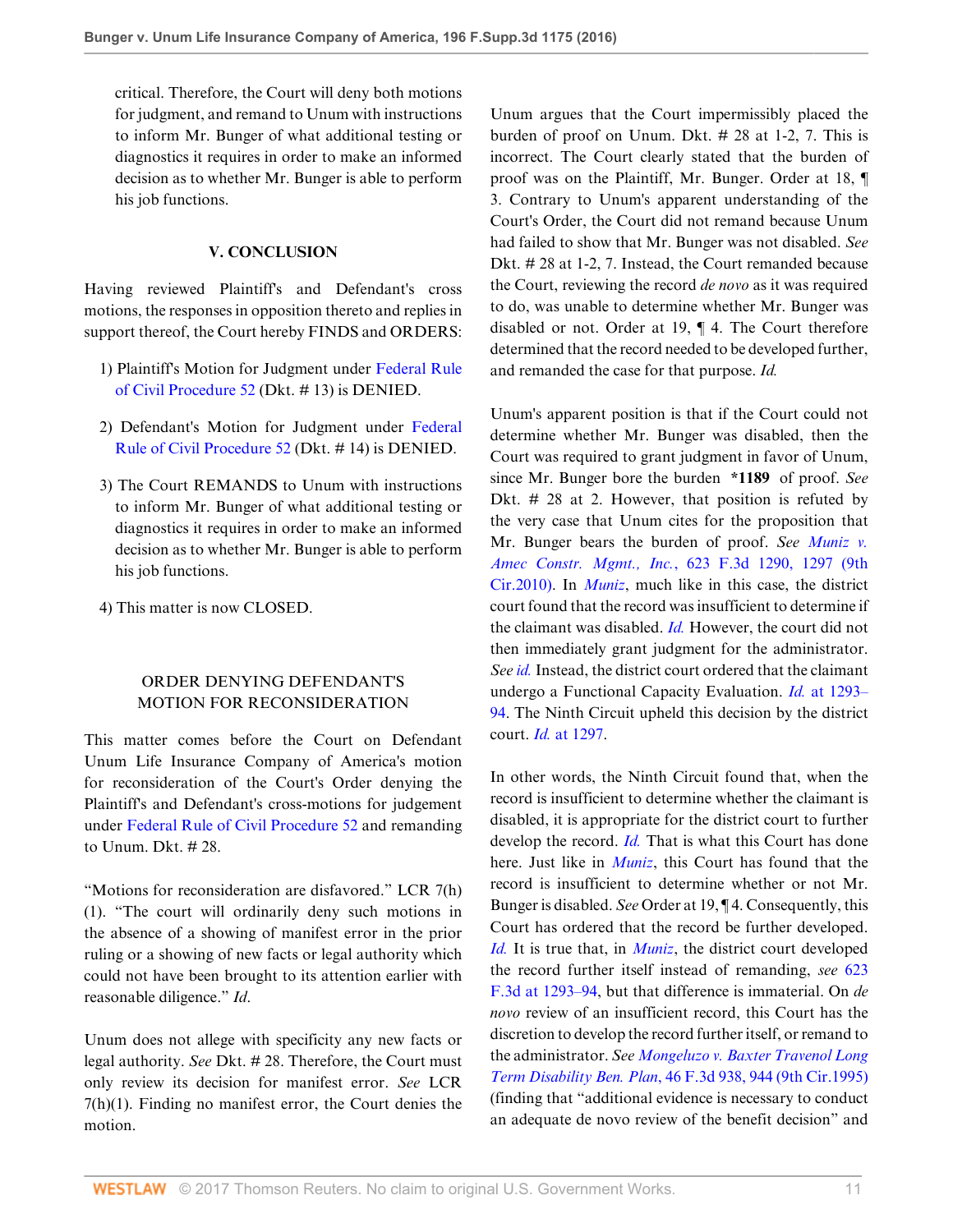critical. Therefore, the Court will deny both motions for judgment, and remand to Unum with instructions to inform Mr. Bunger of what additional testing or diagnostics it requires in order to make an informed decision as to whether Mr. Bunger is able to perform his job functions.

# **V. CONCLUSION**

Having reviewed Plaintiff's and Defendant's cross motions, the responses in opposition thereto and replies in support thereof, the Court hereby FINDS and ORDERS:

- 1) Plaintiff's Motion for Judgment under [Federal Rule](http://www.westlaw.com/Link/Document/FullText?findType=L&pubNum=1000600&cite=USFRCPR52&originatingDoc=Ia051ce304ee211e68e80d394640dd07e&refType=LQ&originationContext=document&vr=3.0&rs=cblt1.0&transitionType=DocumentItem&contextData=(sc.UserEnteredCitation)) [of Civil Procedure 52](http://www.westlaw.com/Link/Document/FullText?findType=L&pubNum=1000600&cite=USFRCPR52&originatingDoc=Ia051ce304ee211e68e80d394640dd07e&refType=LQ&originationContext=document&vr=3.0&rs=cblt1.0&transitionType=DocumentItem&contextData=(sc.UserEnteredCitation)) (Dkt. # 13) is DENIED.
- 2) Defendant's Motion for Judgment under [Federal](http://www.westlaw.com/Link/Document/FullText?findType=L&pubNum=1000600&cite=USFRCPR52&originatingDoc=Ia051ce304ee211e68e80d394640dd07e&refType=LQ&originationContext=document&vr=3.0&rs=cblt1.0&transitionType=DocumentItem&contextData=(sc.UserEnteredCitation)) [Rule of Civil Procedure 52](http://www.westlaw.com/Link/Document/FullText?findType=L&pubNum=1000600&cite=USFRCPR52&originatingDoc=Ia051ce304ee211e68e80d394640dd07e&refType=LQ&originationContext=document&vr=3.0&rs=cblt1.0&transitionType=DocumentItem&contextData=(sc.UserEnteredCitation)) (Dkt. # 14) is DENIED.
- 3) The Court REMANDS to Unum with instructions to inform Mr. Bunger of what additional testing or diagnostics it requires in order to make an informed decision as to whether Mr. Bunger is able to perform his job functions.
- 4) This matter is now CLOSED.

# ORDER DENYING DEFENDANT'S MOTION FOR RECONSIDERATION

This matter comes before the Court on Defendant Unum Life Insurance Company of America's motion for reconsideration of the Court's Order denying the Plaintiff's and Defendant's cross-motions for judgement under [Federal Rule of Civil Procedure 52](http://www.westlaw.com/Link/Document/FullText?findType=L&pubNum=1000600&cite=USFRCPR52&originatingDoc=Ia051ce304ee211e68e80d394640dd07e&refType=LQ&originationContext=document&vr=3.0&rs=cblt1.0&transitionType=DocumentItem&contextData=(sc.UserEnteredCitation)) and remanding to Unum. Dkt. # 28.

"Motions for reconsideration are disfavored." LCR 7(h) (1). "The court will ordinarily deny such motions in the absence of a showing of manifest error in the prior ruling or a showing of new facts or legal authority which could not have been brought to its attention earlier with reasonable diligence." *Id*.

Unum does not allege with specificity any new facts or legal authority. *See* Dkt. # 28. Therefore, the Court must only review its decision for manifest error. *See* LCR 7(h)(1). Finding no manifest error, the Court denies the motion.

Unum argues that the Court impermissibly placed the burden of proof on Unum. Dkt. # 28 at 1-2, 7. This is incorrect. The Court clearly stated that the burden of proof was on the Plaintiff, Mr. Bunger. Order at 18, ¶ 3. Contrary to Unum's apparent understanding of the Court's Order, the Court did not remand because Unum had failed to show that Mr. Bunger was not disabled. *See* Dkt. # 28 at 1-2, 7. Instead, the Court remanded because the Court, reviewing the record *de novo* as it was required to do, was unable to determine whether Mr. Bunger was disabled or not. Order at 19, ¶ 4. The Court therefore determined that the record needed to be developed further, and remanded the case for that purpose. *Id.*

Unum's apparent position is that if the Court could not determine whether Mr. Bunger was disabled, then the Court was required to grant judgment in favor of Unum, since Mr. Bunger bore the burden **\*1189** of proof. *See* Dkt. # 28 at 2. However, that position is refuted by the very case that Unum cites for the proposition that Mr. Bunger bears the burden of proof. *See [Muniz v.](http://www.westlaw.com/Link/Document/FullText?findType=Y&serNum=2023501190&pubNum=0000506&originatingDoc=Ia051ce304ee211e68e80d394640dd07e&refType=RP&fi=co_pp_sp_506_1297&originationContext=document&vr=3.0&rs=cblt1.0&transitionType=DocumentItem&contextData=(sc.UserEnteredCitation)#co_pp_sp_506_1297) Amec Constr. Mgmt., Inc.*[, 623 F.3d 1290, 1297 \(9th](http://www.westlaw.com/Link/Document/FullText?findType=Y&serNum=2023501190&pubNum=0000506&originatingDoc=Ia051ce304ee211e68e80d394640dd07e&refType=RP&fi=co_pp_sp_506_1297&originationContext=document&vr=3.0&rs=cblt1.0&transitionType=DocumentItem&contextData=(sc.UserEnteredCitation)#co_pp_sp_506_1297) [Cir.2010\).](http://www.westlaw.com/Link/Document/FullText?findType=Y&serNum=2023501190&pubNum=0000506&originatingDoc=Ia051ce304ee211e68e80d394640dd07e&refType=RP&fi=co_pp_sp_506_1297&originationContext=document&vr=3.0&rs=cblt1.0&transitionType=DocumentItem&contextData=(sc.UserEnteredCitation)#co_pp_sp_506_1297) In *[Muniz](http://www.westlaw.com/Link/Document/FullText?findType=Y&serNum=2023501190&pubNum=0000506&originatingDoc=Ia051ce304ee211e68e80d394640dd07e&refType=RP&originationContext=document&vr=3.0&rs=cblt1.0&transitionType=DocumentItem&contextData=(sc.UserEnteredCitation))*, much like in this case, the district court found that the record was insufficient to determine if the claimant was disabled. *[Id.](http://www.westlaw.com/Link/Document/FullText?findType=Y&serNum=2023501190&pubNum=0000506&originatingDoc=Ia051ce304ee211e68e80d394640dd07e&refType=RP&originationContext=document&vr=3.0&rs=cblt1.0&transitionType=DocumentItem&contextData=(sc.UserEnteredCitation))* However, the court did not then immediately grant judgment for the administrator. *See [id.](http://www.westlaw.com/Link/Document/FullText?findType=Y&serNum=2023501190&pubNum=0000506&originatingDoc=Ia051ce304ee211e68e80d394640dd07e&refType=RP&originationContext=document&vr=3.0&rs=cblt1.0&transitionType=DocumentItem&contextData=(sc.UserEnteredCitation))* Instead, the district court ordered that the claimant undergo a Functional Capacity Evaluation. *Id.* [at 1293–](http://www.westlaw.com/Link/Document/FullText?findType=Y&serNum=2023501190&pubNum=0000506&originatingDoc=Ia051ce304ee211e68e80d394640dd07e&refType=RP&fi=co_pp_sp_506_1293&originationContext=document&vr=3.0&rs=cblt1.0&transitionType=DocumentItem&contextData=(sc.UserEnteredCitation)#co_pp_sp_506_1293) [94](http://www.westlaw.com/Link/Document/FullText?findType=Y&serNum=2023501190&pubNum=0000506&originatingDoc=Ia051ce304ee211e68e80d394640dd07e&refType=RP&fi=co_pp_sp_506_1293&originationContext=document&vr=3.0&rs=cblt1.0&transitionType=DocumentItem&contextData=(sc.UserEnteredCitation)#co_pp_sp_506_1293). The Ninth Circuit upheld this decision by the district court. *Id.* [at 1297.](http://www.westlaw.com/Link/Document/FullText?findType=Y&serNum=2023501190&pubNum=0000506&originatingDoc=Ia051ce304ee211e68e80d394640dd07e&refType=RP&fi=co_pp_sp_506_1297&originationContext=document&vr=3.0&rs=cblt1.0&transitionType=DocumentItem&contextData=(sc.UserEnteredCitation)#co_pp_sp_506_1297)

In other words, the Ninth Circuit found that, when the record is insufficient to determine whether the claimant is disabled, it is appropriate for the district court to further develop the record. *[Id.](http://www.westlaw.com/Link/Document/FullText?findType=Y&serNum=2023501190&pubNum=0000506&originatingDoc=Ia051ce304ee211e68e80d394640dd07e&refType=RP&originationContext=document&vr=3.0&rs=cblt1.0&transitionType=DocumentItem&contextData=(sc.UserEnteredCitation))* That is what this Court has done here. Just like in *[Muniz](http://www.westlaw.com/Link/Document/FullText?findType=Y&serNum=2023501190&pubNum=0000506&originatingDoc=Ia051ce304ee211e68e80d394640dd07e&refType=RP&originationContext=document&vr=3.0&rs=cblt1.0&transitionType=DocumentItem&contextData=(sc.UserEnteredCitation))*, this Court has found that the record is insufficient to determine whether or not Mr. Bunger is disabled. *See* Order at 19, ¶ 4. Consequently, this Court has ordered that the record be further developed. *[Id.](http://www.westlaw.com/Link/Document/FullText?findType=Y&serNum=2023501190&pubNum=0000506&originatingDoc=Ia051ce304ee211e68e80d394640dd07e&refType=RP&originationContext=document&vr=3.0&rs=cblt1.0&transitionType=DocumentItem&contextData=(sc.UserEnteredCitation))* It is true that, in *[Muniz](http://www.westlaw.com/Link/Document/FullText?findType=Y&serNum=2023501190&pubNum=0000506&originatingDoc=Ia051ce304ee211e68e80d394640dd07e&refType=RP&originationContext=document&vr=3.0&rs=cblt1.0&transitionType=DocumentItem&contextData=(sc.UserEnteredCitation))*, the district court developed the record further itself instead of remanding, *see* [623](http://www.westlaw.com/Link/Document/FullText?findType=Y&serNum=2023501190&pubNum=0000506&originatingDoc=Ia051ce304ee211e68e80d394640dd07e&refType=RP&fi=co_pp_sp_506_1293&originationContext=document&vr=3.0&rs=cblt1.0&transitionType=DocumentItem&contextData=(sc.UserEnteredCitation)#co_pp_sp_506_1293) [F.3d at 1293–94,](http://www.westlaw.com/Link/Document/FullText?findType=Y&serNum=2023501190&pubNum=0000506&originatingDoc=Ia051ce304ee211e68e80d394640dd07e&refType=RP&fi=co_pp_sp_506_1293&originationContext=document&vr=3.0&rs=cblt1.0&transitionType=DocumentItem&contextData=(sc.UserEnteredCitation)#co_pp_sp_506_1293) but that difference is immaterial. On *de novo* review of an insufficient record, this Court has the discretion to develop the record further itself, or remand to the administrator. *See [Mongeluzo v. Baxter Travenol Long](http://www.westlaw.com/Link/Document/FullText?findType=Y&serNum=1995038884&pubNum=0000506&originatingDoc=Ia051ce304ee211e68e80d394640dd07e&refType=RP&fi=co_pp_sp_506_944&originationContext=document&vr=3.0&rs=cblt1.0&transitionType=DocumentItem&contextData=(sc.UserEnteredCitation)#co_pp_sp_506_944) Term Disability Ben. Plan*[, 46 F.3d 938, 944 \(9th Cir.1995\)](http://www.westlaw.com/Link/Document/FullText?findType=Y&serNum=1995038884&pubNum=0000506&originatingDoc=Ia051ce304ee211e68e80d394640dd07e&refType=RP&fi=co_pp_sp_506_944&originationContext=document&vr=3.0&rs=cblt1.0&transitionType=DocumentItem&contextData=(sc.UserEnteredCitation)#co_pp_sp_506_944) (finding that "additional evidence is necessary to conduct an adequate de novo review of the benefit decision" and